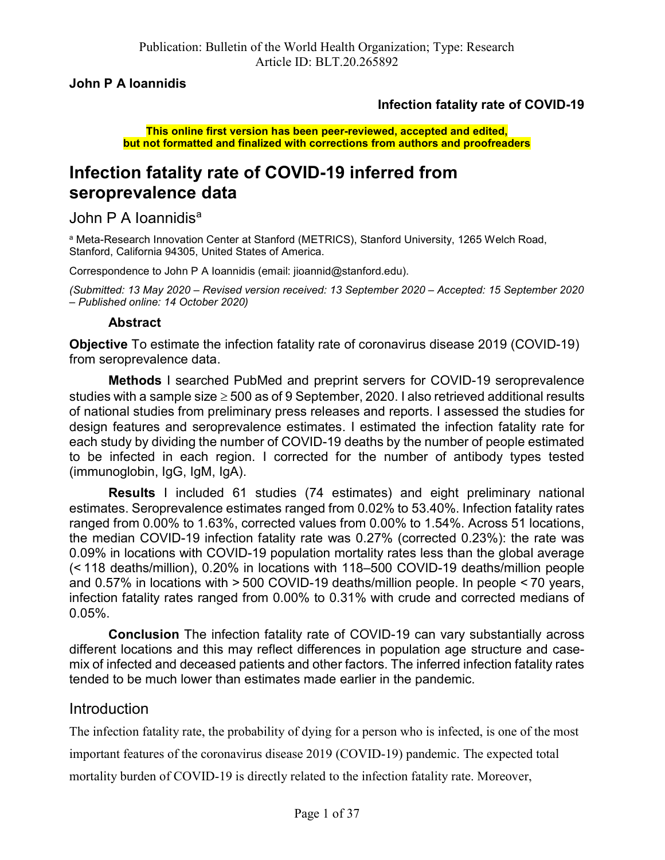John P A Ioannidis

## Infection fatality rate of COVID-19

This online first version has been peer-reviewed, accepted and edited, but not formatted and finalized with corrections from authors and proofreaders

# Infection fatality rate of COVID-19 inferred from seroprevalence data

John P A Ioannidis<sup>a</sup>

<sup>a</sup> Meta-Research Innovation Center at Stanford (METRICS), Stanford University, 1265 Welch Road, Stanford, California 94305, United States of America.

Correspondence to John P A Ioannidis (email: jioannid@stanford.edu).

(Submitted: 13 May 2020 – Revised version received: 13 September 2020 – Accepted: 15 September 2020 – Published online: 14 October 2020)

## Abstract

Objective To estimate the infection fatality rate of coronavirus disease 2019 (COVID-19) from seroprevalence data.

Methods I searched PubMed and preprint servers for COVID-19 seroprevalence studies with a sample size  $\geq 500$  as of 9 September, 2020. I also retrieved additional results of national studies from preliminary press releases and reports. I assessed the studies for design features and seroprevalence estimates. I estimated the infection fatality rate for each study by dividing the number of COVID-19 deaths by the number of people estimated to be infected in each region. I corrected for the number of antibody types tested (immunoglobin, IgG, IgM, IgA).

Results I included 61 studies (74 estimates) and eight preliminary national estimates. Seroprevalence estimates ranged from 0.02% to 53.40%. Infection fatality rates ranged from 0.00% to 1.63%, corrected values from 0.00% to 1.54%. Across 51 locations, the median COVID-19 infection fatality rate was 0.27% (corrected 0.23%): the rate was 0.09% in locations with COVID-19 population mortality rates less than the global average (< 118 deaths/million), 0.20% in locations with 118–500 COVID-19 deaths/million people and 0.57% in locations with > 500 COVID-19 deaths/million people. In people < 70 years, infection fatality rates ranged from 0.00% to 0.31% with crude and corrected medians of 0.05%.

Conclusion The infection fatality rate of COVID-19 can vary substantially across different locations and this may reflect differences in population age structure and casemix of infected and deceased patients and other factors. The inferred infection fatality rates tended to be much lower than estimates made earlier in the pandemic.

## Introduction

The infection fatality rate, the probability of dying for a person who is infected, is one of the most

important features of the coronavirus disease 2019 (COVID-19) pandemic. The expected total

mortality burden of COVID-19 is directly related to the infection fatality rate. Moreover,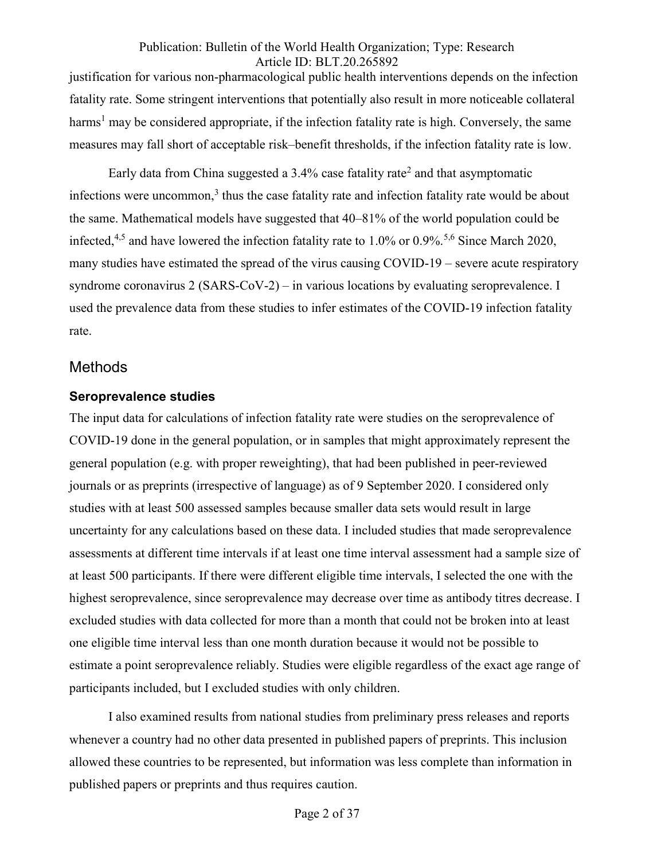justification for various non-pharmacological public health interventions depends on the infection fatality rate. Some stringent interventions that potentially also result in more noticeable collateral harms<sup>1</sup> may be considered appropriate, if the infection fatality rate is high. Conversely, the same measures may fall short of acceptable risk–benefit thresholds, if the infection fatality rate is low.

Early data from China suggested a 3.4% case fatality rate<sup>2</sup> and that asymptomatic infections were uncommon, $3$  thus the case fatality rate and infection fatality rate would be about the same. Mathematical models have suggested that 40–81% of the world population could be infected,<sup>4,5</sup> and have lowered the infection fatality rate to 1.0% or 0.9%.<sup>5,6</sup> Since March 2020, many studies have estimated the spread of the virus causing COVID-19 – severe acute respiratory syndrome coronavirus 2 (SARS-CoV-2) – in various locations by evaluating seroprevalence. I used the prevalence data from these studies to infer estimates of the COVID-19 infection fatality rate.

## **Methods**

## Seroprevalence studies

The input data for calculations of infection fatality rate were studies on the seroprevalence of COVID-19 done in the general population, or in samples that might approximately represent the general population (e.g. with proper reweighting), that had been published in peer-reviewed journals or as preprints (irrespective of language) as of 9 September 2020. I considered only studies with at least 500 assessed samples because smaller data sets would result in large uncertainty for any calculations based on these data. I included studies that made seroprevalence assessments at different time intervals if at least one time interval assessment had a sample size of at least 500 participants. If there were different eligible time intervals, I selected the one with the highest seroprevalence, since seroprevalence may decrease over time as antibody titres decrease. I excluded studies with data collected for more than a month that could not be broken into at least one eligible time interval less than one month duration because it would not be possible to estimate a point seroprevalence reliably. Studies were eligible regardless of the exact age range of participants included, but I excluded studies with only children.

I also examined results from national studies from preliminary press releases and reports whenever a country had no other data presented in published papers of preprints. This inclusion allowed these countries to be represented, but information was less complete than information in published papers or preprints and thus requires caution.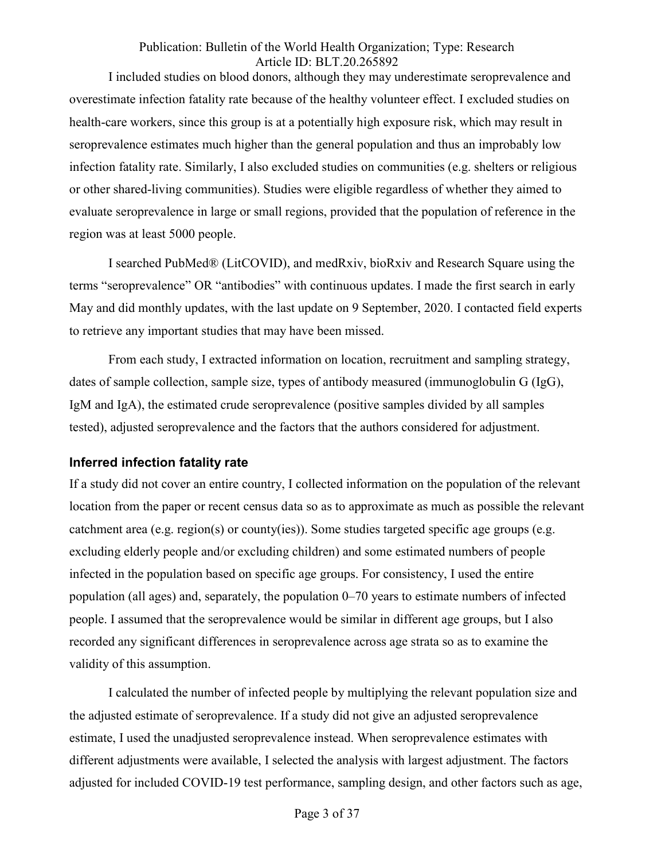I included studies on blood donors, although they may underestimate seroprevalence and overestimate infection fatality rate because of the healthy volunteer effect. I excluded studies on health-care workers, since this group is at a potentially high exposure risk, which may result in seroprevalence estimates much higher than the general population and thus an improbably low infection fatality rate. Similarly, I also excluded studies on communities (e.g. shelters or religious or other shared-living communities). Studies were eligible regardless of whether they aimed to evaluate seroprevalence in large or small regions, provided that the population of reference in the region was at least 5000 people.

I searched PubMed® (LitCOVID), and medRxiv, bioRxiv and Research Square using the terms "seroprevalence" OR "antibodies" with continuous updates. I made the first search in early May and did monthly updates, with the last update on 9 September, 2020. I contacted field experts to retrieve any important studies that may have been missed.

From each study, I extracted information on location, recruitment and sampling strategy, dates of sample collection, sample size, types of antibody measured (immunoglobulin G (IgG), IgM and IgA), the estimated crude seroprevalence (positive samples divided by all samples tested), adjusted seroprevalence and the factors that the authors considered for adjustment.

#### Inferred infection fatality rate

If a study did not cover an entire country, I collected information on the population of the relevant location from the paper or recent census data so as to approximate as much as possible the relevant catchment area (e.g. region(s) or county(ies)). Some studies targeted specific age groups (e.g. excluding elderly people and/or excluding children) and some estimated numbers of people infected in the population based on specific age groups. For consistency, I used the entire population (all ages) and, separately, the population 0–70 years to estimate numbers of infected people. I assumed that the seroprevalence would be similar in different age groups, but I also recorded any significant differences in seroprevalence across age strata so as to examine the validity of this assumption.

I calculated the number of infected people by multiplying the relevant population size and the adjusted estimate of seroprevalence. If a study did not give an adjusted seroprevalence estimate, I used the unadjusted seroprevalence instead. When seroprevalence estimates with different adjustments were available, I selected the analysis with largest adjustment. The factors adjusted for included COVID-19 test performance, sampling design, and other factors such as age,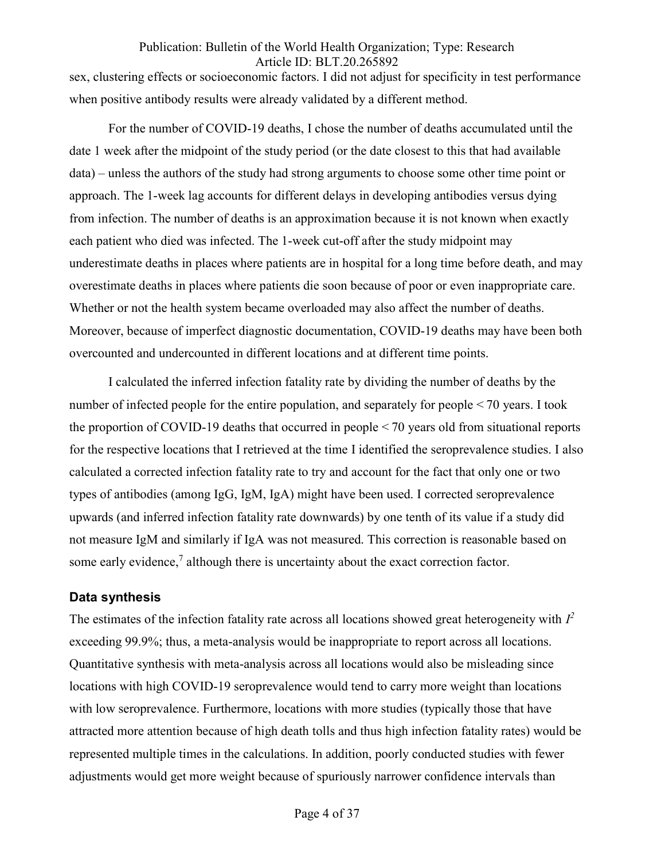sex, clustering effects or socioeconomic factors. I did not adjust for specificity in test performance when positive antibody results were already validated by a different method.

For the number of COVID-19 deaths, I chose the number of deaths accumulated until the date 1 week after the midpoint of the study period (or the date closest to this that had available data) – unless the authors of the study had strong arguments to choose some other time point or approach. The 1-week lag accounts for different delays in developing antibodies versus dying from infection. The number of deaths is an approximation because it is not known when exactly each patient who died was infected. The 1-week cut-off after the study midpoint may underestimate deaths in places where patients are in hospital for a long time before death, and may overestimate deaths in places where patients die soon because of poor or even inappropriate care. Whether or not the health system became overloaded may also affect the number of deaths. Moreover, because of imperfect diagnostic documentation, COVID-19 deaths may have been both overcounted and undercounted in different locations and at different time points.

I calculated the inferred infection fatality rate by dividing the number of deaths by the number of infected people for the entire population, and separately for people  $\leq$  70 years. I took the proportion of COVID-19 deaths that occurred in people < 70 years old from situational reports for the respective locations that I retrieved at the time I identified the seroprevalence studies. I also calculated a corrected infection fatality rate to try and account for the fact that only one or two types of antibodies (among IgG, IgM, IgA) might have been used. I corrected seroprevalence upwards (and inferred infection fatality rate downwards) by one tenth of its value if a study did not measure IgM and similarly if IgA was not measured. This correction is reasonable based on some early evidence, $7$  although there is uncertainty about the exact correction factor.

#### Data synthesis

The estimates of the infection fatality rate across all locations showed great heterogeneity with  $I^2$ exceeding 99.9%; thus, a meta-analysis would be inappropriate to report across all locations. Quantitative synthesis with meta-analysis across all locations would also be misleading since locations with high COVID-19 seroprevalence would tend to carry more weight than locations with low seroprevalence. Furthermore, locations with more studies (typically those that have attracted more attention because of high death tolls and thus high infection fatality rates) would be represented multiple times in the calculations. In addition, poorly conducted studies with fewer adjustments would get more weight because of spuriously narrower confidence intervals than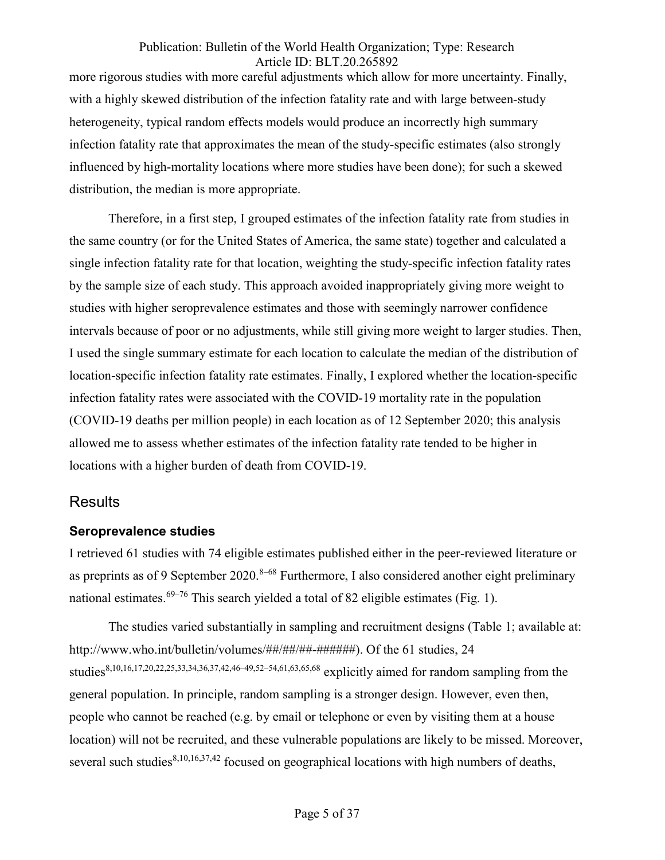more rigorous studies with more careful adjustments which allow for more uncertainty. Finally, with a highly skewed distribution of the infection fatality rate and with large between-study heterogeneity, typical random effects models would produce an incorrectly high summary infection fatality rate that approximates the mean of the study-specific estimates (also strongly influenced by high-mortality locations where more studies have been done); for such a skewed distribution, the median is more appropriate.

Therefore, in a first step, I grouped estimates of the infection fatality rate from studies in the same country (or for the United States of America, the same state) together and calculated a single infection fatality rate for that location, weighting the study-specific infection fatality rates by the sample size of each study. This approach avoided inappropriately giving more weight to studies with higher seroprevalence estimates and those with seemingly narrower confidence intervals because of poor or no adjustments, while still giving more weight to larger studies. Then, I used the single summary estimate for each location to calculate the median of the distribution of location-specific infection fatality rate estimates. Finally, I explored whether the location-specific infection fatality rates were associated with the COVID-19 mortality rate in the population (COVID-19 deaths per million people) in each location as of 12 September 2020; this analysis allowed me to assess whether estimates of the infection fatality rate tended to be higher in locations with a higher burden of death from COVID-19.

## **Results**

## Seroprevalence studies

I retrieved 61 studies with 74 eligible estimates published either in the peer-reviewed literature or as preprints as of 9 September 2020.<sup>8–68</sup> Furthermore, I also considered another eight preliminary national estimates.<sup>69–76</sup> This search yielded a total of 82 eligible estimates (Fig. 1).

The studies varied substantially in sampling and recruitment designs (Table 1; available at: http://www.who.int/bulletin/volumes/##/##/##-######). Of the 61 studies, 24 studies<sup>8,10,16,17,20,22,25,33,34,36,37,42,46–49,52–54,61,63,65,68</sup> explicitly aimed for random sampling from the general population. In principle, random sampling is a stronger design. However, even then, people who cannot be reached (e.g. by email or telephone or even by visiting them at a house location) will not be recruited, and these vulnerable populations are likely to be missed. Moreover, several such studies $8,10,16,37,42$  focused on geographical locations with high numbers of deaths,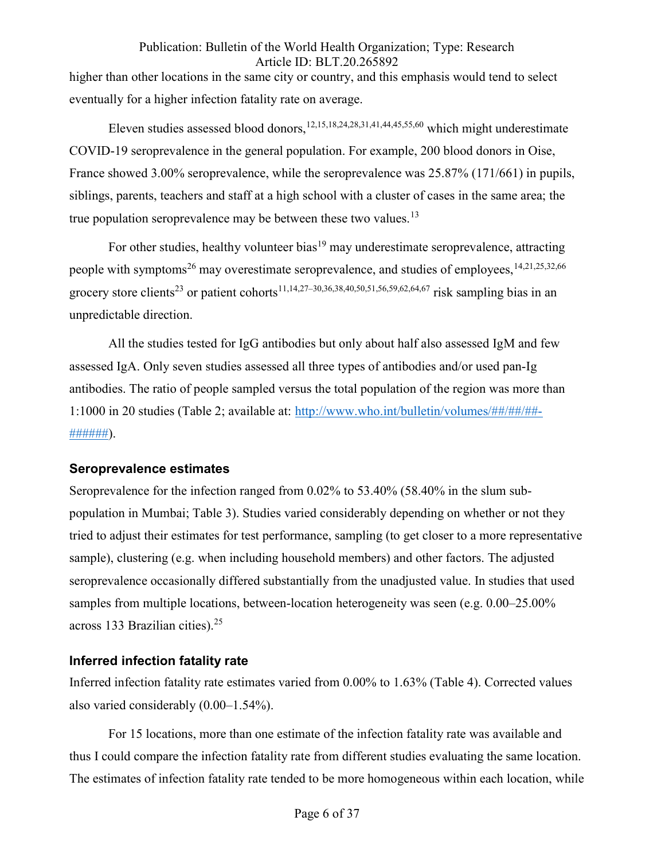higher than other locations in the same city or country, and this emphasis would tend to select eventually for a higher infection fatality rate on average.

Eleven studies assessed blood donors,  $12,15,18,24,28,31,41,44,45,55,60$  which might underestimate COVID-19 seroprevalence in the general population. For example, 200 blood donors in Oise, France showed 3.00% seroprevalence, while the seroprevalence was 25.87% (171/661) in pupils, siblings, parents, teachers and staff at a high school with a cluster of cases in the same area; the true population seroprevalence may be between these two values.<sup>13</sup>

For other studies, healthy volunteer bias<sup>19</sup> may underestimate seroprevalence, attracting people with symptoms<sup>26</sup> may overestimate seroprevalence, and studies of employees, <sup>14,21,25,32,66</sup> grocery store clients<sup>23</sup> or patient cohorts<sup>11,14,27–30,36,38,40,50,51,56,59,62,64,67 risk sampling bias in an</sup> unpredictable direction.

All the studies tested for IgG antibodies but only about half also assessed IgM and few assessed IgA. Only seven studies assessed all three types of antibodies and/or used pan-Ig antibodies. The ratio of people sampled versus the total population of the region was more than 1:1000 in 20 studies (Table 2; available at: http://www.who.int/bulletin/volumes/##/##/##- #######).

## Seroprevalence estimates

Seroprevalence for the infection ranged from 0.02% to 53.40% (58.40% in the slum subpopulation in Mumbai; Table 3). Studies varied considerably depending on whether or not they tried to adjust their estimates for test performance, sampling (to get closer to a more representative sample), clustering (e.g. when including household members) and other factors. The adjusted seroprevalence occasionally differed substantially from the unadjusted value. In studies that used samples from multiple locations, between-location heterogeneity was seen (e.g. 0.00–25.00% across 133 Brazilian cities). $25$ 

## Inferred infection fatality rate

Inferred infection fatality rate estimates varied from 0.00% to 1.63% (Table 4). Corrected values also varied considerably (0.00–1.54%).

For 15 locations, more than one estimate of the infection fatality rate was available and thus I could compare the infection fatality rate from different studies evaluating the same location. The estimates of infection fatality rate tended to be more homogeneous within each location, while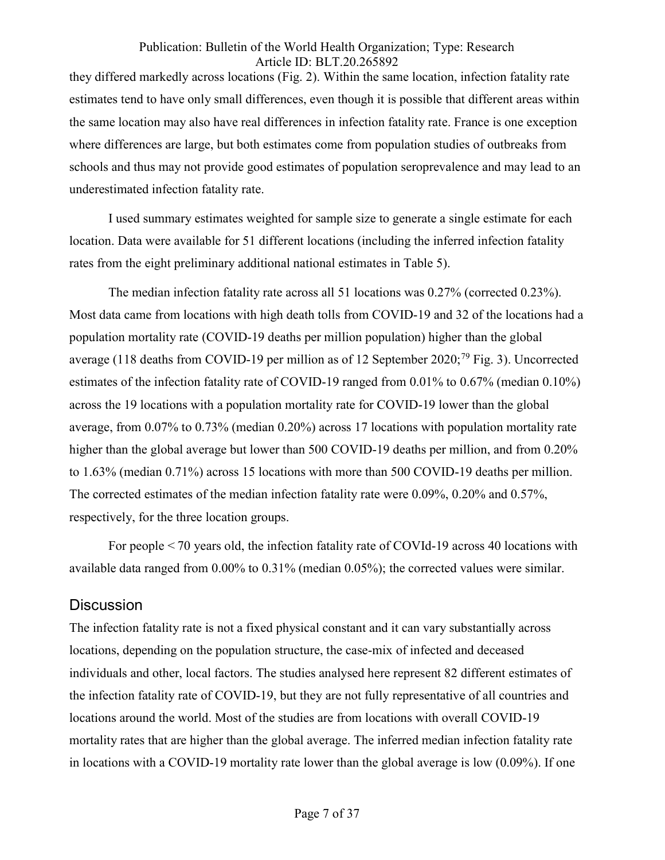they differed markedly across locations (Fig. 2). Within the same location, infection fatality rate estimates tend to have only small differences, even though it is possible that different areas within the same location may also have real differences in infection fatality rate. France is one exception where differences are large, but both estimates come from population studies of outbreaks from schools and thus may not provide good estimates of population seroprevalence and may lead to an underestimated infection fatality rate.

I used summary estimates weighted for sample size to generate a single estimate for each location. Data were available for 51 different locations (including the inferred infection fatality rates from the eight preliminary additional national estimates in Table 5).

The median infection fatality rate across all 51 locations was 0.27% (corrected 0.23%). Most data came from locations with high death tolls from COVID-19 and 32 of the locations had a population mortality rate (COVID-19 deaths per million population) higher than the global average (118 deaths from COVID-19 per million as of 12 September 2020;<sup>79</sup> Fig. 3). Uncorrected estimates of the infection fatality rate of COVID-19 ranged from 0.01% to 0.67% (median 0.10%) across the 19 locations with a population mortality rate for COVID-19 lower than the global average, from 0.07% to 0.73% (median 0.20%) across 17 locations with population mortality rate higher than the global average but lower than 500 COVID-19 deaths per million, and from 0.20% to 1.63% (median 0.71%) across 15 locations with more than 500 COVID-19 deaths per million. The corrected estimates of the median infection fatality rate were 0.09%, 0.20% and 0.57%, respectively, for the three location groups.

For people < 70 years old, the infection fatality rate of COVId-19 across 40 locations with available data ranged from 0.00% to 0.31% (median 0.05%); the corrected values were similar.

## **Discussion**

The infection fatality rate is not a fixed physical constant and it can vary substantially across locations, depending on the population structure, the case-mix of infected and deceased individuals and other, local factors. The studies analysed here represent 82 different estimates of the infection fatality rate of COVID-19, but they are not fully representative of all countries and locations around the world. Most of the studies are from locations with overall COVID-19 mortality rates that are higher than the global average. The inferred median infection fatality rate in locations with a COVID-19 mortality rate lower than the global average is low (0.09%). If one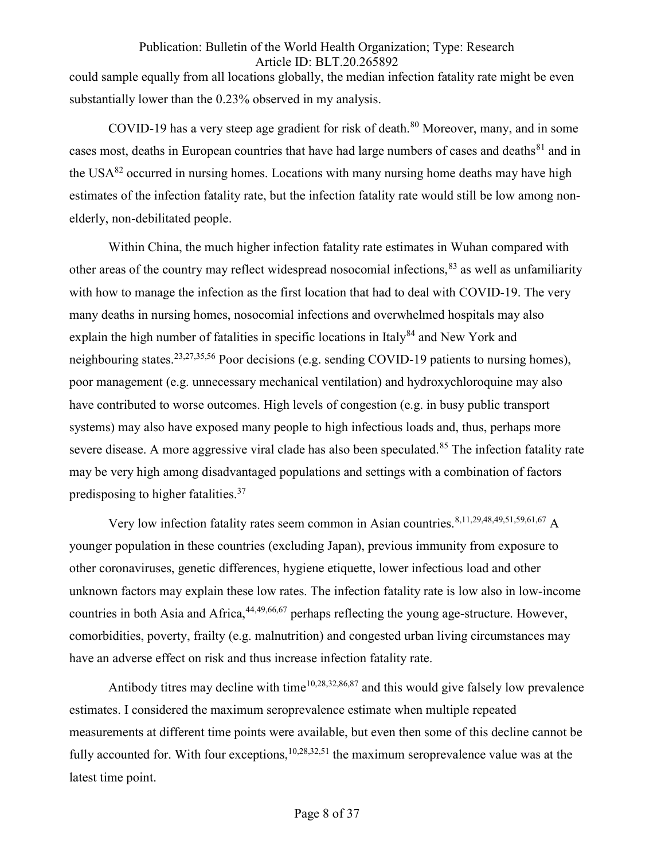could sample equally from all locations globally, the median infection fatality rate might be even substantially lower than the 0.23% observed in my analysis.

COVID-19 has a very steep age gradient for risk of death.<sup>80</sup> Moreover, many, and in some cases most, deaths in European countries that have had large numbers of cases and deaths<sup>81</sup> and in the USA $^{82}$  occurred in nursing homes. Locations with many nursing home deaths may have high estimates of the infection fatality rate, but the infection fatality rate would still be low among nonelderly, non-debilitated people.

Within China, the much higher infection fatality rate estimates in Wuhan compared with other areas of the country may reflect widespread nosocomial infections, <sup>83</sup> as well as unfamiliarity with how to manage the infection as the first location that had to deal with COVID-19. The very many deaths in nursing homes, nosocomial infections and overwhelmed hospitals may also explain the high number of fatalities in specific locations in Italy<sup>84</sup> and New York and neighbouring states.23,27,35,56 Poor decisions (e.g. sending COVID-19 patients to nursing homes), poor management (e.g. unnecessary mechanical ventilation) and hydroxychloroquine may also have contributed to worse outcomes. High levels of congestion (e.g. in busy public transport systems) may also have exposed many people to high infectious loads and, thus, perhaps more severe disease. A more aggressive viral clade has also been speculated.<sup>85</sup> The infection fatality rate may be very high among disadvantaged populations and settings with a combination of factors predisposing to higher fatalities.<sup>37</sup>

Very low infection fatality rates seem common in Asian countries. 8,11,29,48,49,51,59,61,67 A younger population in these countries (excluding Japan), previous immunity from exposure to other coronaviruses, genetic differences, hygiene etiquette, lower infectious load and other unknown factors may explain these low rates. The infection fatality rate is low also in low-income countries in both Asia and Africa, <sup>44,49,66,67</sup> perhaps reflecting the young age-structure. However, comorbidities, poverty, frailty (e.g. malnutrition) and congested urban living circumstances may have an adverse effect on risk and thus increase infection fatality rate.

Antibody titres may decline with time<sup>10,28,32,86,87</sup> and this would give falsely low prevalence estimates. I considered the maximum seroprevalence estimate when multiple repeated measurements at different time points were available, but even then some of this decline cannot be fully accounted for. With four exceptions,  $10,28,32,51$  the maximum seroprevalence value was at the latest time point.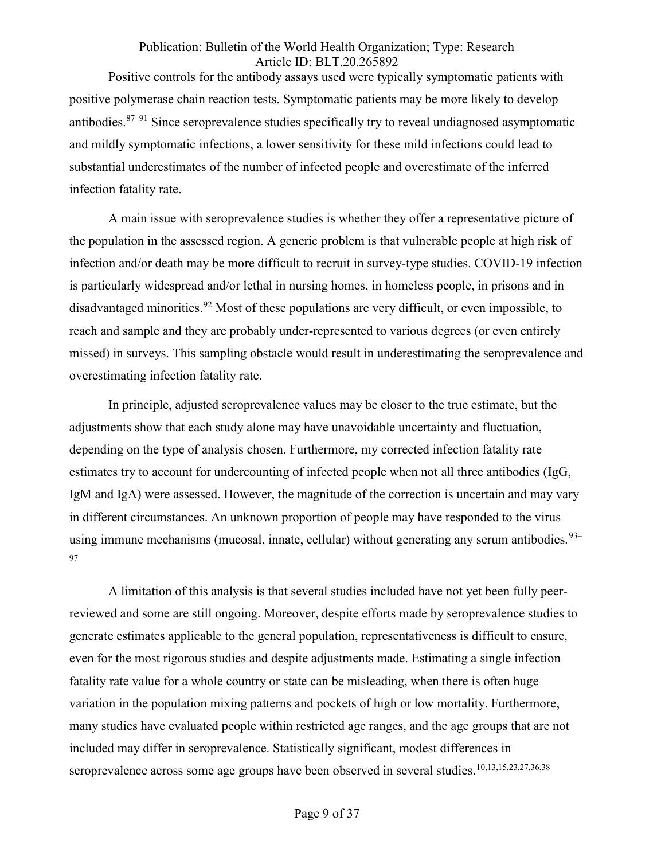Positive controls for the antibody assays used were typically symptomatic patients with positive polymerase chain reaction tests. Symptomatic patients may be more likely to develop antibodies.87–91 Since seroprevalence studies specifically try to reveal undiagnosed asymptomatic and mildly symptomatic infections, a lower sensitivity for these mild infections could lead to substantial underestimates of the number of infected people and overestimate of the inferred infection fatality rate.

A main issue with seroprevalence studies is whether they offer a representative picture of the population in the assessed region. A generic problem is that vulnerable people at high risk of infection and/or death may be more difficult to recruit in survey-type studies. COVID-19 infection is particularly widespread and/or lethal in nursing homes, in homeless people, in prisons and in disadvantaged minorities.<sup>92</sup> Most of these populations are very difficult, or even impossible, to reach and sample and they are probably under-represented to various degrees (or even entirely missed) in surveys. This sampling obstacle would result in underestimating the seroprevalence and overestimating infection fatality rate.

In principle, adjusted seroprevalence values may be closer to the true estimate, but the adjustments show that each study alone may have unavoidable uncertainty and fluctuation, depending on the type of analysis chosen. Furthermore, my corrected infection fatality rate estimates try to account for undercounting of infected people when not all three antibodies (IgG, IgM and IgA) were assessed. However, the magnitude of the correction is uncertain and may vary in different circumstances. An unknown proportion of people may have responded to the virus using immune mechanisms (mucosal, innate, cellular) without generating any serum antibodies.  $93-$ 97

A limitation of this analysis is that several studies included have not yet been fully peerreviewed and some are still ongoing. Moreover, despite efforts made by seroprevalence studies to generate estimates applicable to the general population, representativeness is difficult to ensure, even for the most rigorous studies and despite adjustments made. Estimating a single infection fatality rate value for a whole country or state can be misleading, when there is often huge variation in the population mixing patterns and pockets of high or low mortality. Furthermore, many studies have evaluated people within restricted age ranges, and the age groups that are not included may differ in seroprevalence. Statistically significant, modest differences in seroprevalence across some age groups have been observed in several studies.<sup>10,13,15,23,27,36,38</sup>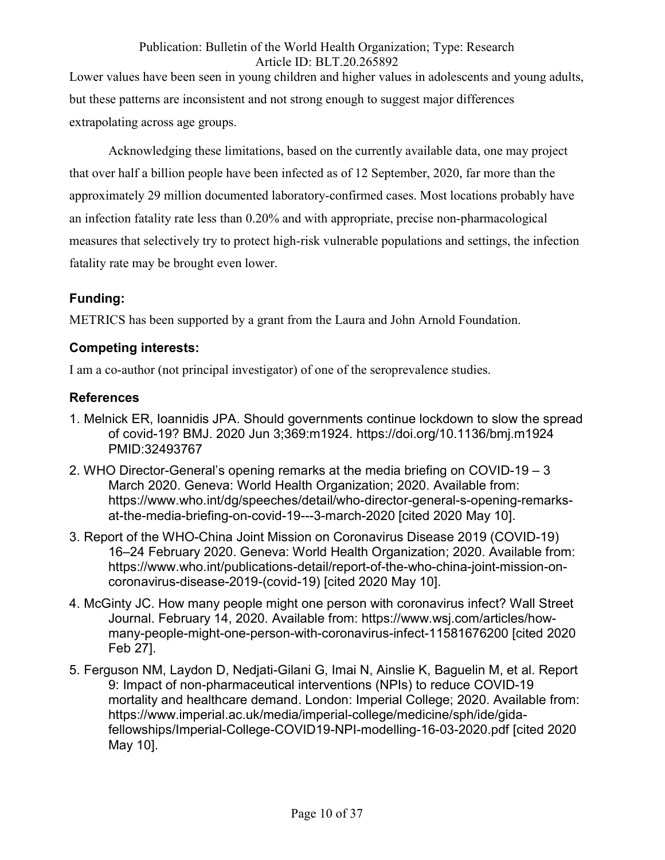Lower values have been seen in young children and higher values in adolescents and young adults, but these patterns are inconsistent and not strong enough to suggest major differences extrapolating across age groups.

Acknowledging these limitations, based on the currently available data, one may project that over half a billion people have been infected as of 12 September, 2020, far more than the approximately 29 million documented laboratory-confirmed cases. Most locations probably have an infection fatality rate less than 0.20% and with appropriate, precise non-pharmacological measures that selectively try to protect high-risk vulnerable populations and settings, the infection fatality rate may be brought even lower.

## Funding:

METRICS has been supported by a grant from the Laura and John Arnold Foundation.

## Competing interests:

I am a co-author (not principal investigator) of one of the seroprevalence studies.

## References

- 1. Melnick ER, Ioannidis JPA. Should governments continue lockdown to slow the spread of covid-19? BMJ. 2020 Jun 3;369:m1924. https://doi.org/10.1136/bmj.m1924 PMID:32493767
- 2. WHO Director-General's opening remarks at the media briefing on COVID-19 3 March 2020. Geneva: World Health Organization; 2020. Available from: https://www.who.int/dg/speeches/detail/who-director-general-s-opening-remarksat-the-media-briefing-on-covid-19---3-march-2020 [cited 2020 May 10].
- 3. Report of the WHO-China Joint Mission on Coronavirus Disease 2019 (COVID-19) 16–24 February 2020. Geneva: World Health Organization; 2020. Available from: https://www.who.int/publications-detail/report-of-the-who-china-joint-mission-oncoronavirus-disease-2019-(covid-19) [cited 2020 May 10].
- 4. McGinty JC. How many people might one person with coronavirus infect? Wall Street Journal. February 14, 2020. Available from: https://www.wsj.com/articles/howmany-people-might-one-person-with-coronavirus-infect-11581676200 [cited 2020 Feb 27].
- 5. Ferguson NM, Laydon D, Nedjati-Gilani G, Imai N, Ainslie K, Baguelin M, et al. Report 9: Impact of non-pharmaceutical interventions (NPIs) to reduce COVID-19 mortality and healthcare demand. London: Imperial College; 2020. Available from: https://www.imperial.ac.uk/media/imperial-college/medicine/sph/ide/gidafellowships/Imperial-College-COVID19-NPI-modelling-16-03-2020.pdf [cited 2020 May 10].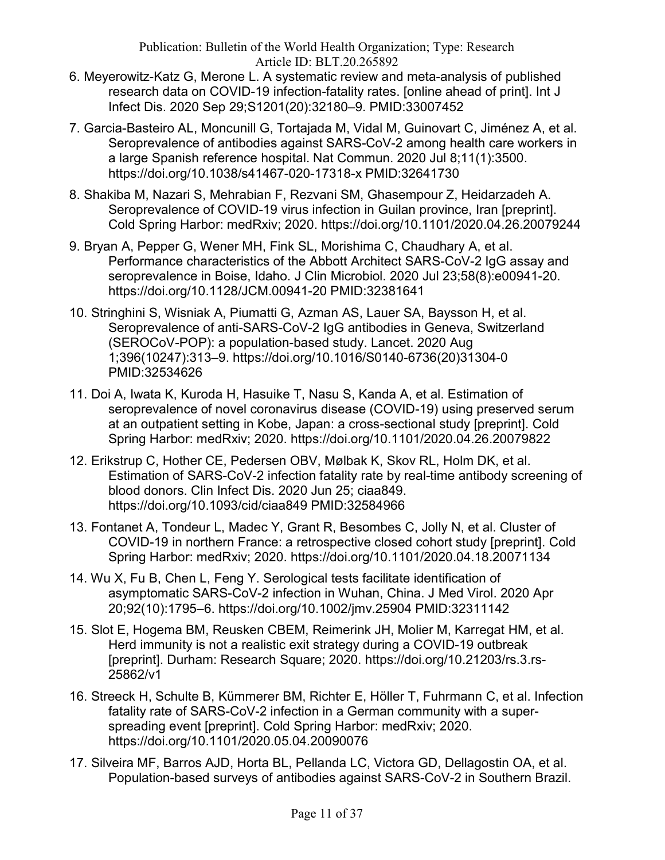- 6. Meyerowitz-Katz G, Merone L. A systematic review and meta-analysis of published research data on COVID-19 infection-fatality rates. [online ahead of print]. Int J Infect Dis. 2020 Sep 29;S1201(20):32180–9. PMID:33007452
- 7. Garcia-Basteiro AL, Moncunill G, Tortajada M, Vidal M, Guinovart C, Jiménez A, et al. Seroprevalence of antibodies against SARS-CoV-2 among health care workers in a large Spanish reference hospital. Nat Commun. 2020 Jul 8;11(1):3500. https://doi.org/10.1038/s41467-020-17318-x PMID:32641730
- 8. Shakiba M, Nazari S, Mehrabian F, Rezvani SM, Ghasempour Z, Heidarzadeh A. Seroprevalence of COVID-19 virus infection in Guilan province, Iran [preprint]. Cold Spring Harbor: medRxiv; 2020. https://doi.org/10.1101/2020.04.26.20079244
- 9. Bryan A, Pepper G, Wener MH, Fink SL, Morishima C, Chaudhary A, et al. Performance characteristics of the Abbott Architect SARS-CoV-2 IgG assay and seroprevalence in Boise, Idaho. J Clin Microbiol. 2020 Jul 23;58(8):e00941-20. https://doi.org/10.1128/JCM.00941-20 PMID:32381641
- 10. Stringhini S, Wisniak A, Piumatti G, Azman AS, Lauer SA, Baysson H, et al. Seroprevalence of anti-SARS-CoV-2 IgG antibodies in Geneva, Switzerland (SEROCoV-POP): a population-based study. Lancet. 2020 Aug 1;396(10247):313–9. https://doi.org/10.1016/S0140-6736(20)31304-0 PMID:32534626
- 11. Doi A, Iwata K, Kuroda H, Hasuike T, Nasu S, Kanda A, et al. Estimation of seroprevalence of novel coronavirus disease (COVID-19) using preserved serum at an outpatient setting in Kobe, Japan: a cross-sectional study [preprint]. Cold Spring Harbor: medRxiv; 2020. https://doi.org/10.1101/2020.04.26.20079822
- 12. Erikstrup C, Hother CE, Pedersen OBV, Mølbak K, Skov RL, Holm DK, et al. Estimation of SARS-CoV-2 infection fatality rate by real-time antibody screening of blood donors. Clin Infect Dis. 2020 Jun 25; ciaa849. https://doi.org/10.1093/cid/ciaa849 PMID:32584966
- 13. Fontanet A, Tondeur L, Madec Y, Grant R, Besombes C, Jolly N, et al. Cluster of COVID-19 in northern France: a retrospective closed cohort study [preprint]. Cold Spring Harbor: medRxiv; 2020. https://doi.org/10.1101/2020.04.18.20071134
- 14. Wu X, Fu B, Chen L, Feng Y. Serological tests facilitate identification of asymptomatic SARS-CoV-2 infection in Wuhan, China. J Med Virol. 2020 Apr 20;92(10):1795–6. https://doi.org/10.1002/jmv.25904 PMID:32311142
- 15. Slot E, Hogema BM, Reusken CBEM, Reimerink JH, Molier M, Karregat HM, et al. Herd immunity is not a realistic exit strategy during a COVID-19 outbreak [preprint]. Durham: Research Square; 2020. https://doi.org/10.21203/rs.3.rs-25862/v1
- 16. Streeck H, Schulte B, Kümmerer BM, Richter E, Höller T, Fuhrmann C, et al. Infection fatality rate of SARS-CoV-2 infection in a German community with a superspreading event [preprint]. Cold Spring Harbor: medRxiv; 2020. https://doi.org/10.1101/2020.05.04.20090076
- 17. Silveira MF, Barros AJD, Horta BL, Pellanda LC, Victora GD, Dellagostin OA, et al. Population-based surveys of antibodies against SARS-CoV-2 in Southern Brazil.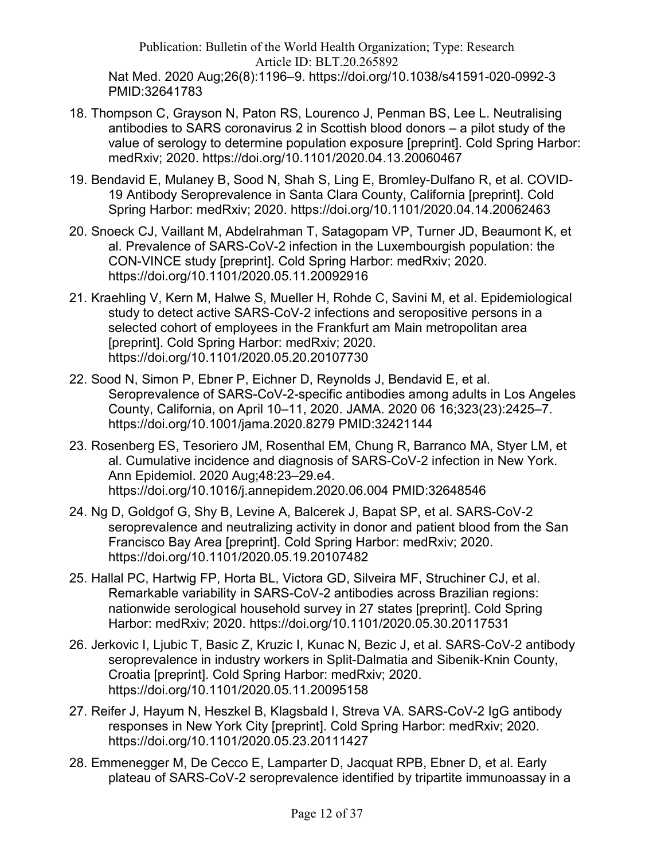Publication: Bulletin of the World Health Organization; Type: Research Article ID: BLT.20.265892 Nat Med. 2020 Aug;26(8):1196–9. https://doi.org/10.1038/s41591-020-0992-3 PMID:32641783

- 18. Thompson C, Grayson N, Paton RS, Lourenco J, Penman BS, Lee L. Neutralising antibodies to SARS coronavirus 2 in Scottish blood donors – a pilot study of the value of serology to determine population exposure [preprint]. Cold Spring Harbor: medRxiv; 2020. https://doi.org/10.1101/2020.04.13.20060467
- 19. Bendavid E, Mulaney B, Sood N, Shah S, Ling E, Bromley-Dulfano R, et al. COVID-19 Antibody Seroprevalence in Santa Clara County, California [preprint]. Cold Spring Harbor: medRxiv; 2020. https://doi.org/10.1101/2020.04.14.20062463
- 20. Snoeck CJ, Vaillant M, Abdelrahman T, Satagopam VP, Turner JD, Beaumont K, et al. Prevalence of SARS-CoV-2 infection in the Luxembourgish population: the CON-VINCE study [preprint]. Cold Spring Harbor: medRxiv; 2020. https://doi.org/10.1101/2020.05.11.20092916
- 21. Kraehling V, Kern M, Halwe S, Mueller H, Rohde C, Savini M, et al. Epidemiological study to detect active SARS-CoV-2 infections and seropositive persons in a selected cohort of employees in the Frankfurt am Main metropolitan area [preprint]. Cold Spring Harbor: medRxiv; 2020. https://doi.org/10.1101/2020.05.20.20107730
- 22. Sood N, Simon P, Ebner P, Eichner D, Reynolds J, Bendavid E, et al. Seroprevalence of SARS-CoV-2-specific antibodies among adults in Los Angeles County, California, on April 10–11, 2020. JAMA. 2020 06 16;323(23):2425–7. https://doi.org/10.1001/jama.2020.8279 PMID:32421144
- 23. Rosenberg ES, Tesoriero JM, Rosenthal EM, Chung R, Barranco MA, Styer LM, et al. Cumulative incidence and diagnosis of SARS-CoV-2 infection in New York. Ann Epidemiol. 2020 Aug;48:23–29.e4. https://doi.org/10.1016/j.annepidem.2020.06.004 PMID:32648546
- 24. Ng D, Goldgof G, Shy B, Levine A, Balcerek J, Bapat SP, et al. SARS-CoV-2 seroprevalence and neutralizing activity in donor and patient blood from the San Francisco Bay Area [preprint]. Cold Spring Harbor: medRxiv; 2020. https://doi.org/10.1101/2020.05.19.20107482
- 25. Hallal PC, Hartwig FP, Horta BL, Victora GD, Silveira MF, Struchiner CJ, et al. Remarkable variability in SARS-CoV-2 antibodies across Brazilian regions: nationwide serological household survey in 27 states [preprint]. Cold Spring Harbor: medRxiv; 2020. https://doi.org/10.1101/2020.05.30.20117531
- 26. Jerkovic I, Ljubic T, Basic Z, Kruzic I, Kunac N, Bezic J, et al. SARS-CoV-2 antibody seroprevalence in industry workers in Split-Dalmatia and Sibenik-Knin County, Croatia [preprint]. Cold Spring Harbor: medRxiv; 2020. https://doi.org/10.1101/2020.05.11.20095158
- 27. Reifer J, Hayum N, Heszkel B, Klagsbald I, Streva VA. SARS-CoV-2 IgG antibody responses in New York City [preprint]. Cold Spring Harbor: medRxiv; 2020. https://doi.org/10.1101/2020.05.23.20111427
- 28. Emmenegger M, De Cecco E, Lamparter D, Jacquat RPB, Ebner D, et al. Early plateau of SARS-CoV-2 seroprevalence identified by tripartite immunoassay in a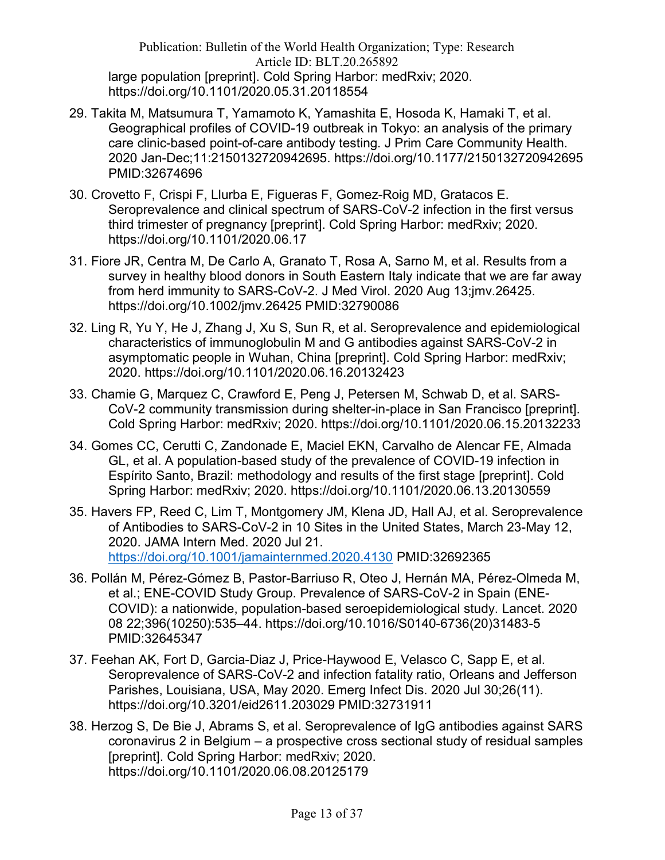Publication: Bulletin of the World Health Organization; Type: Research Article ID: BLT.20.265892 large population [preprint]. Cold Spring Harbor: medRxiv; 2020. https://doi.org/10.1101/2020.05.31.20118554

- 29. Takita M, Matsumura T, Yamamoto K, Yamashita E, Hosoda K, Hamaki T, et al. Geographical profiles of COVID-19 outbreak in Tokyo: an analysis of the primary care clinic-based point-of-care antibody testing. J Prim Care Community Health. 2020 Jan-Dec;11:2150132720942695. https://doi.org/10.1177/2150132720942695 PMID:32674696
- 30. Crovetto F, Crispi F, Llurba E, Figueras F, Gomez-Roig MD, Gratacos E. Seroprevalence and clinical spectrum of SARS-CoV-2 infection in the first versus third trimester of pregnancy [preprint]. Cold Spring Harbor: medRxiv; 2020. https://doi.org/10.1101/2020.06.17
- 31. Fiore JR, Centra M, De Carlo A, Granato T, Rosa A, Sarno M, et al. Results from a survey in healthy blood donors in South Eastern Italy indicate that we are far away from herd immunity to SARS-CoV-2. J Med Virol. 2020 Aug 13;jmv.26425. https://doi.org/10.1002/jmv.26425 PMID:32790086
- 32. Ling R, Yu Y, He J, Zhang J, Xu S, Sun R, et al. Seroprevalence and epidemiological characteristics of immunoglobulin M and G antibodies against SARS-CoV-2 in asymptomatic people in Wuhan, China [preprint]. Cold Spring Harbor: medRxiv; 2020. https://doi.org/10.1101/2020.06.16.20132423
- 33. Chamie G, Marquez C, Crawford E, Peng J, Petersen M, Schwab D, et al. SARS-CoV-2 community transmission during shelter-in-place in San Francisco [preprint]. Cold Spring Harbor: medRxiv; 2020. https://doi.org/10.1101/2020.06.15.20132233
- 34. Gomes CC, Cerutti C, Zandonade E, Maciel EKN, Carvalho de Alencar FE, Almada GL, et al. A population-based study of the prevalence of COVID-19 infection in Espírito Santo, Brazil: methodology and results of the first stage [preprint]. Cold Spring Harbor: medRxiv; 2020. https://doi.org/10.1101/2020.06.13.20130559
- 35. Havers FP, Reed C, Lim T, Montgomery JM, Klena JD, Hall AJ, et al. Seroprevalence of Antibodies to SARS-CoV-2 in 10 Sites in the United States, March 23-May 12, 2020. JAMA Intern Med. 2020 Jul 21. https://doi.org/10.1001/jamainternmed.2020.4130 PMID:32692365
- 36. Pollán M, Pérez-Gómez B, Pastor-Barriuso R, Oteo J, Hernán MA, Pérez-Olmeda M, et al.; ENE-COVID Study Group. Prevalence of SARS-CoV-2 in Spain (ENE-COVID): a nationwide, population-based seroepidemiological study. Lancet. 2020 08 22;396(10250):535–44. https://doi.org/10.1016/S0140-6736(20)31483-5 PMID:32645347
- 37. Feehan AK, Fort D, Garcia-Diaz J, Price-Haywood E, Velasco C, Sapp E, et al. Seroprevalence of SARS-CoV-2 and infection fatality ratio, Orleans and Jefferson Parishes, Louisiana, USA, May 2020. Emerg Infect Dis. 2020 Jul 30;26(11). https://doi.org/10.3201/eid2611.203029 PMID:32731911
- 38. Herzog S, De Bie J, Abrams S, et al. Seroprevalence of IgG antibodies against SARS coronavirus 2 in Belgium – a prospective cross sectional study of residual samples [preprint]. Cold Spring Harbor: medRxiv; 2020. https://doi.org/10.1101/2020.06.08.20125179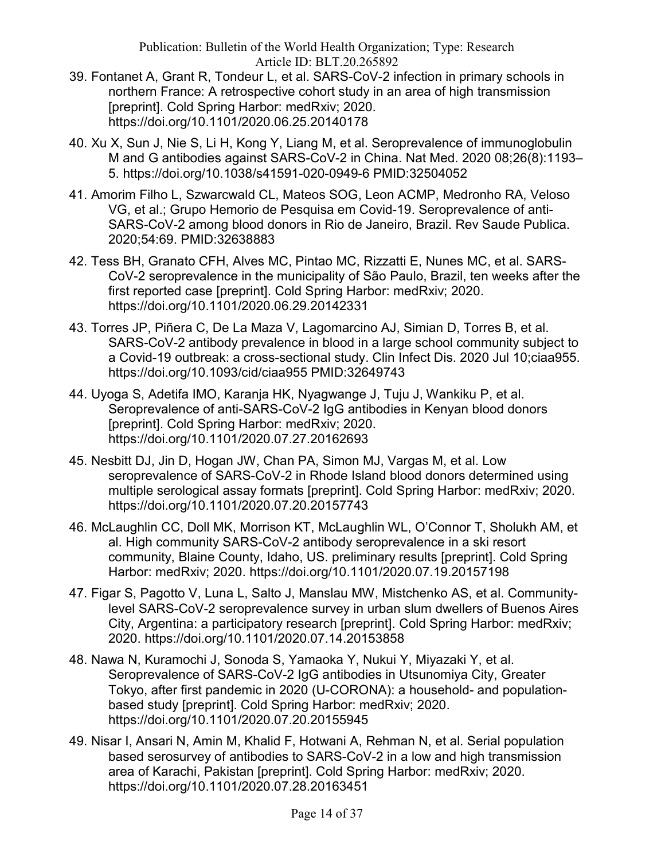- 39. Fontanet A, Grant R, Tondeur L, et al. SARS-CoV-2 infection in primary schools in northern France: A retrospective cohort study in an area of high transmission [preprint]. Cold Spring Harbor: medRxiv; 2020. https://doi.org/10.1101/2020.06.25.20140178
- 40. Xu X, Sun J, Nie S, Li H, Kong Y, Liang M, et al. Seroprevalence of immunoglobulin M and G antibodies against SARS-CoV-2 in China. Nat Med. 2020 08;26(8):1193– 5. https://doi.org/10.1038/s41591-020-0949-6 PMID:32504052
- 41. Amorim Filho L, Szwarcwald CL, Mateos SOG, Leon ACMP, Medronho RA, Veloso VG, et al.; Grupo Hemorio de Pesquisa em Covid-19. Seroprevalence of anti-SARS-CoV-2 among blood donors in Rio de Janeiro, Brazil. Rev Saude Publica. 2020;54:69. PMID:32638883
- 42. Tess BH, Granato CFH, Alves MC, Pintao MC, Rizzatti E, Nunes MC, et al. SARS-CoV-2 seroprevalence in the municipality of São Paulo, Brazil, ten weeks after the first reported case [preprint]. Cold Spring Harbor: medRxiv; 2020. https://doi.org/10.1101/2020.06.29.20142331
- 43. Torres JP, Piñera C, De La Maza V, Lagomarcino AJ, Simian D, Torres B, et al. SARS-CoV-2 antibody prevalence in blood in a large school community subject to a Covid-19 outbreak: a cross-sectional study. Clin Infect Dis. 2020 Jul 10;ciaa955. https://doi.org/10.1093/cid/ciaa955 PMID:32649743
- 44. Uyoga S, Adetifa IMO, Karanja HK, Nyagwange J, Tuju J, Wankiku P, et al. Seroprevalence of anti-SARS-CoV-2 IgG antibodies in Kenyan blood donors [preprint]. Cold Spring Harbor: medRxiv; 2020. https://doi.org/10.1101/2020.07.27.20162693
- 45. Nesbitt DJ, Jin D, Hogan JW, Chan PA, Simon MJ, Vargas M, et al. Low seroprevalence of SARS-CoV-2 in Rhode Island blood donors determined using multiple serological assay formats [preprint]. Cold Spring Harbor: medRxiv; 2020. https://doi.org/10.1101/2020.07.20.20157743
- 46. McLaughlin CC, Doll MK, Morrison KT, McLaughlin WL, O'Connor T, Sholukh AM, et al. High community SARS-CoV-2 antibody seroprevalence in a ski resort community, Blaine County, Idaho, US. preliminary results [preprint]. Cold Spring Harbor: medRxiv; 2020. https://doi.org/10.1101/2020.07.19.20157198
- 47. Figar S, Pagotto V, Luna L, Salto J, Manslau MW, Mistchenko AS, et al. Communitylevel SARS-CoV-2 seroprevalence survey in urban slum dwellers of Buenos Aires City, Argentina: a participatory research [preprint]. Cold Spring Harbor: medRxiv; 2020. https://doi.org/10.1101/2020.07.14.20153858
- 48. Nawa N, Kuramochi J, Sonoda S, Yamaoka Y, Nukui Y, Miyazaki Y, et al. Seroprevalence of SARS-CoV-2 IgG antibodies in Utsunomiya City, Greater Tokyo, after first pandemic in 2020 (U-CORONA): a household- and populationbased study [preprint]. Cold Spring Harbor: medRxiv; 2020. https://doi.org/10.1101/2020.07.20.20155945
- 49. Nisar I, Ansari N, Amin M, Khalid F, Hotwani A, Rehman N, et al. Serial population based serosurvey of antibodies to SARS-CoV-2 in a low and high transmission area of Karachi, Pakistan [preprint]. Cold Spring Harbor: medRxiv; 2020. https://doi.org/10.1101/2020.07.28.20163451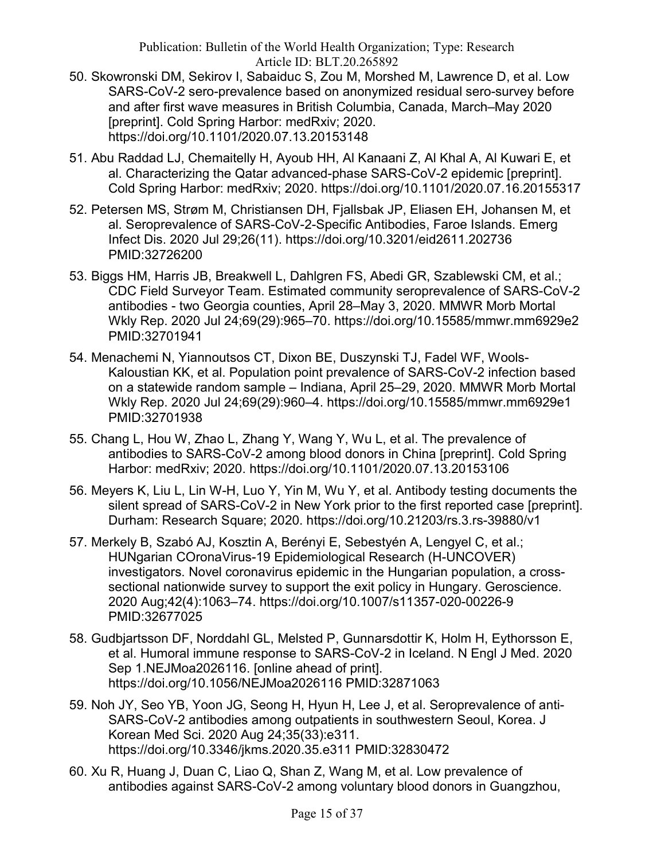- 50. Skowronski DM, Sekirov I, Sabaiduc S, Zou M, Morshed M, Lawrence D, et al. Low SARS-CoV-2 sero-prevalence based on anonymized residual sero-survey before and after first wave measures in British Columbia, Canada, March–May 2020 [preprint]. Cold Spring Harbor: medRxiv; 2020. https://doi.org/10.1101/2020.07.13.20153148
- 51. Abu Raddad LJ, Chemaitelly H, Ayoub HH, Al Kanaani Z, Al Khal A, Al Kuwari E, et al. Characterizing the Qatar advanced-phase SARS-CoV-2 epidemic [preprint]. Cold Spring Harbor: medRxiv; 2020. https://doi.org/10.1101/2020.07.16.20155317
- 52. Petersen MS, Strøm M, Christiansen DH, Fjallsbak JP, Eliasen EH, Johansen M, et al. Seroprevalence of SARS-CoV-2-Specific Antibodies, Faroe Islands. Emerg Infect Dis. 2020 Jul 29;26(11). https://doi.org/10.3201/eid2611.202736 PMID:32726200
- 53. Biggs HM, Harris JB, Breakwell L, Dahlgren FS, Abedi GR, Szablewski CM, et al.; CDC Field Surveyor Team. Estimated community seroprevalence of SARS-CoV-2 antibodies - two Georgia counties, April 28–May 3, 2020. MMWR Morb Mortal Wkly Rep. 2020 Jul 24;69(29):965–70. https://doi.org/10.15585/mmwr.mm6929e2 PMID:32701941
- 54. Menachemi N, Yiannoutsos CT, Dixon BE, Duszynski TJ, Fadel WF, Wools-Kaloustian KK, et al. Population point prevalence of SARS-CoV-2 infection based on a statewide random sample – Indiana, April 25–29, 2020. MMWR Morb Mortal Wkly Rep. 2020 Jul 24;69(29):960–4. https://doi.org/10.15585/mmwr.mm6929e1 PMID:32701938
- 55. Chang L, Hou W, Zhao L, Zhang Y, Wang Y, Wu L, et al. The prevalence of antibodies to SARS-CoV-2 among blood donors in China [preprint]. Cold Spring Harbor: medRxiv; 2020. https://doi.org/10.1101/2020.07.13.20153106
- 56. Meyers K, Liu L, Lin W-H, Luo Y, Yin M, Wu Y, et al. Antibody testing documents the silent spread of SARS-CoV-2 in New York prior to the first reported case [preprint]. Durham: Research Square; 2020. https://doi.org/10.21203/rs.3.rs-39880/v1
- 57. Merkely B, Szabó AJ, Kosztin A, Berényi E, Sebestyén A, Lengyel C, et al.; HUNgarian COronaVirus-19 Epidemiological Research (H-UNCOVER) investigators. Novel coronavirus epidemic in the Hungarian population, a crosssectional nationwide survey to support the exit policy in Hungary. Geroscience. 2020 Aug;42(4):1063–74. https://doi.org/10.1007/s11357-020-00226-9 PMID:32677025
- 58. Gudbjartsson DF, Norddahl GL, Melsted P, Gunnarsdottir K, Holm H, Eythorsson E, et al. Humoral immune response to SARS-CoV-2 in Iceland. N Engl J Med. 2020 Sep 1.NEJMoa2026116. [online ahead of print]. https://doi.org/10.1056/NEJMoa2026116 PMID:32871063
- 59. Noh JY, Seo YB, Yoon JG, Seong H, Hyun H, Lee J, et al. Seroprevalence of anti-SARS-CoV-2 antibodies among outpatients in southwestern Seoul, Korea. J Korean Med Sci. 2020 Aug 24;35(33):e311. https://doi.org/10.3346/jkms.2020.35.e311 PMID:32830472
- 60. Xu R, Huang J, Duan C, Liao Q, Shan Z, Wang M, et al. Low prevalence of antibodies against SARS-CoV-2 among voluntary blood donors in Guangzhou,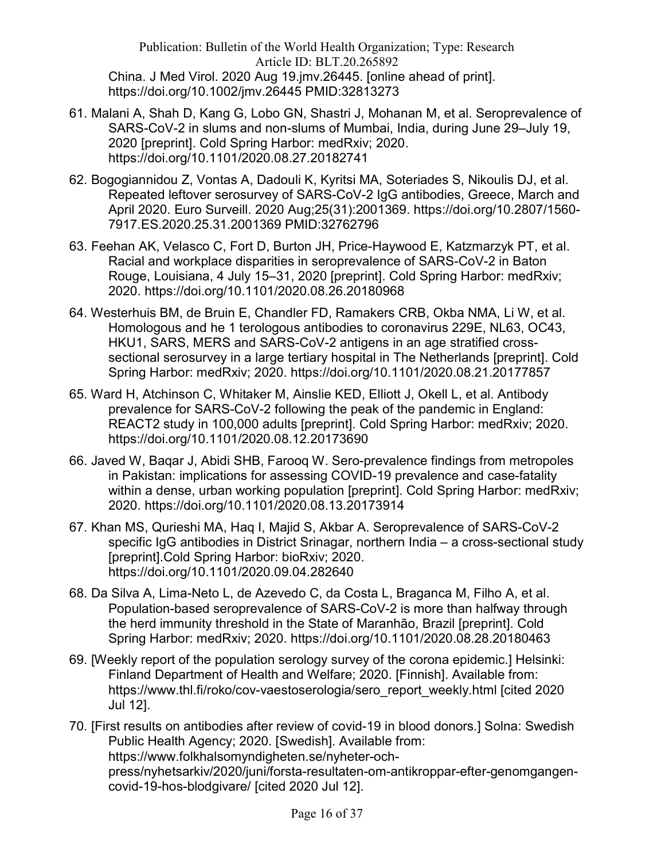Publication: Bulletin of the World Health Organization; Type: Research Article ID: BLT.20.265892 China. J Med Virol. 2020 Aug 19.jmv.26445. [online ahead of print]. https://doi.org/10.1002/jmv.26445 PMID:32813273

- 61. Malani A, Shah D, Kang G, Lobo GN, Shastri J, Mohanan M, et al. Seroprevalence of SARS-CoV-2 in slums and non-slums of Mumbai, India, during June 29–July 19, 2020 [preprint]. Cold Spring Harbor: medRxiv; 2020. https://doi.org/10.1101/2020.08.27.20182741
- 62. Bogogiannidou Z, Vontas A, Dadouli K, Kyritsi MA, Soteriades S, Nikoulis DJ, et al. Repeated leftover serosurvey of SARS-CoV-2 IgG antibodies, Greece, March and April 2020. Euro Surveill. 2020 Aug;25(31):2001369. https://doi.org/10.2807/1560- 7917.ES.2020.25.31.2001369 PMID:32762796
- 63. Feehan AK, Velasco C, Fort D, Burton JH, Price-Haywood E, Katzmarzyk PT, et al. Racial and workplace disparities in seroprevalence of SARS-CoV-2 in Baton Rouge, Louisiana, 4 July 15–31, 2020 [preprint]. Cold Spring Harbor: medRxiv; 2020. https://doi.org/10.1101/2020.08.26.20180968
- 64. Westerhuis BM, de Bruin E, Chandler FD, Ramakers CRB, Okba NMA, Li W, et al. Homologous and he 1 terologous antibodies to coronavirus 229E, NL63, OC43, HKU1, SARS, MERS and SARS-CoV-2 antigens in an age stratified crosssectional serosurvey in a large tertiary hospital in The Netherlands [preprint]. Cold Spring Harbor: medRxiv; 2020. https://doi.org/10.1101/2020.08.21.20177857
- 65. Ward H, Atchinson C, Whitaker M, Ainslie KED, Elliott J, Okell L, et al. Antibody prevalence for SARS-CoV-2 following the peak of the pandemic in England: REACT2 study in 100,000 adults [preprint]. Cold Spring Harbor: medRxiv; 2020. https://doi.org/10.1101/2020.08.12.20173690
- 66. Javed W, Baqar J, Abidi SHB, Farooq W. Sero-prevalence findings from metropoles in Pakistan: implications for assessing COVID-19 prevalence and case-fatality within a dense, urban working population [preprint]. Cold Spring Harbor: medRxiv; 2020. https://doi.org/10.1101/2020.08.13.20173914
- 67. Khan MS, Qurieshi MA, Haq I, Majid S, Akbar A. Seroprevalence of SARS-CoV-2 specific IgG antibodies in District Srinagar, northern India – a cross-sectional study [preprint].Cold Spring Harbor: bioRxiv; 2020. https://doi.org/10.1101/2020.09.04.282640
- 68. Da Silva A, Lima-Neto L, de Azevedo C, da Costa L, Braganca M, Filho A, et al. Population-based seroprevalence of SARS-CoV-2 is more than halfway through the herd immunity threshold in the State of Maranhão, Brazil [preprint]. Cold Spring Harbor: medRxiv; 2020. https://doi.org/10.1101/2020.08.28.20180463
- 69. [Weekly report of the population serology survey of the corona epidemic.] Helsinki: Finland Department of Health and Welfare; 2020. [Finnish]. Available from: https://www.thl.fi/roko/cov-vaestoserologia/sero\_report\_weekly.html [cited 2020] Jul 12].
- 70. [First results on antibodies after review of covid-19 in blood donors.] Solna: Swedish Public Health Agency; 2020. [Swedish]. Available from: https://www.folkhalsomyndigheten.se/nyheter-ochpress/nyhetsarkiv/2020/juni/forsta-resultaten-om-antikroppar-efter-genomgangencovid-19-hos-blodgivare/ [cited 2020 Jul 12].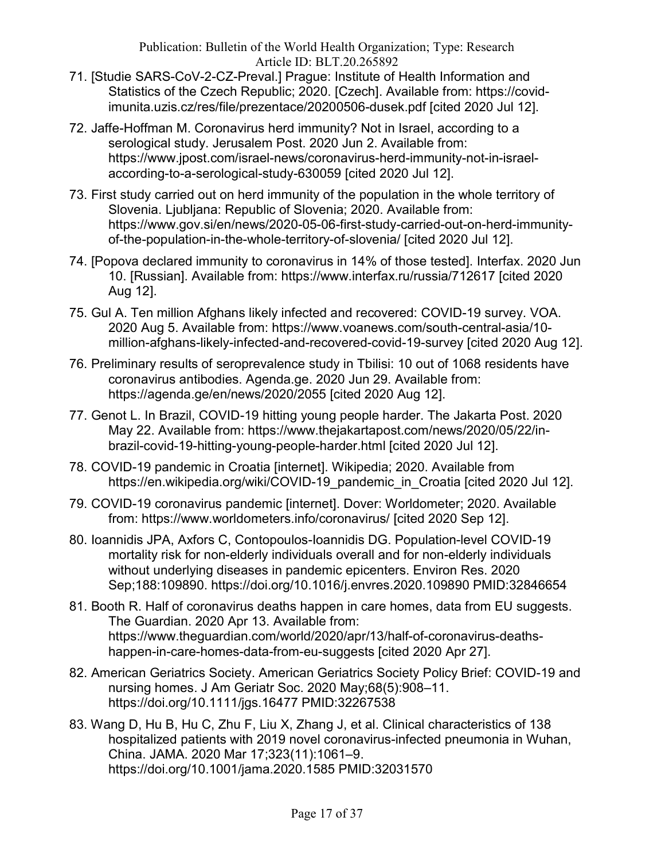- 71. [Studie SARS-CoV-2-CZ-Preval.] Prague: Institute of Health Information and Statistics of the Czech Republic; 2020. [Czech]. Available from: https://covidimunita.uzis.cz/res/file/prezentace/20200506-dusek.pdf [cited 2020 Jul 12].
- 72. Jaffe-Hoffman M. Coronavirus herd immunity? Not in Israel, according to a serological study. Jerusalem Post. 2020 Jun 2. Available from: https://www.jpost.com/israel-news/coronavirus-herd-immunity-not-in-israelaccording-to-a-serological-study-630059 [cited 2020 Jul 12].
- 73. First study carried out on herd immunity of the population in the whole territory of Slovenia. Ljubljana: Republic of Slovenia; 2020. Available from: https://www.gov.si/en/news/2020-05-06-first-study-carried-out-on-herd-immunityof-the-population-in-the-whole-territory-of-slovenia/ [cited 2020 Jul 12].
- 74. [Popova declared immunity to coronavirus in 14% of those tested]. Interfax. 2020 Jun 10. [Russian]. Available from: https://www.interfax.ru/russia/712617 [cited 2020 Aug 12].
- 75. Gul A. Ten million Afghans likely infected and recovered: COVID-19 survey. VOA. 2020 Aug 5. Available from: https://www.voanews.com/south-central-asia/10 million-afghans-likely-infected-and-recovered-covid-19-survey [cited 2020 Aug 12].
- 76. Preliminary results of seroprevalence study in Tbilisi: 10 out of 1068 residents have coronavirus antibodies. Agenda.ge. 2020 Jun 29. Available from: https://agenda.ge/en/news/2020/2055 [cited 2020 Aug 12].
- 77. Genot L. In Brazil, COVID-19 hitting young people harder. The Jakarta Post. 2020 May 22. Available from: https://www.thejakartapost.com/news/2020/05/22/inbrazil-covid-19-hitting-young-people-harder.html [cited 2020 Jul 12].
- 78. COVID-19 pandemic in Croatia [internet]. Wikipedia; 2020. Available from https://en.wikipedia.org/wiki/COVID-19 pandemic in Croatia [cited 2020 Jul 12].
- 79. COVID-19 coronavirus pandemic [internet]. Dover: Worldometer; 2020. Available from: https://www.worldometers.info/coronavirus/ [cited 2020 Sep 12].
- 80. Ioannidis JPA, Axfors C, Contopoulos-Ioannidis DG. Population-level COVID-19 mortality risk for non-elderly individuals overall and for non-elderly individuals without underlying diseases in pandemic epicenters. Environ Res. 2020 Sep;188:109890. https://doi.org/10.1016/j.envres.2020.109890 PMID:32846654
- 81. Booth R. Half of coronavirus deaths happen in care homes, data from EU suggests. The Guardian. 2020 Apr 13. Available from: https://www.theguardian.com/world/2020/apr/13/half-of-coronavirus-deathshappen-in-care-homes-data-from-eu-suggests [cited 2020 Apr 27].
- 82. American Geriatrics Society. American Geriatrics Society Policy Brief: COVID-19 and nursing homes. J Am Geriatr Soc. 2020 May;68(5):908–11. https://doi.org/10.1111/jgs.16477 PMID:32267538
- 83. Wang D, Hu B, Hu C, Zhu F, Liu X, Zhang J, et al. Clinical characteristics of 138 hospitalized patients with 2019 novel coronavirus-infected pneumonia in Wuhan, China. JAMA. 2020 Mar 17;323(11):1061–9. https://doi.org/10.1001/jama.2020.1585 PMID:32031570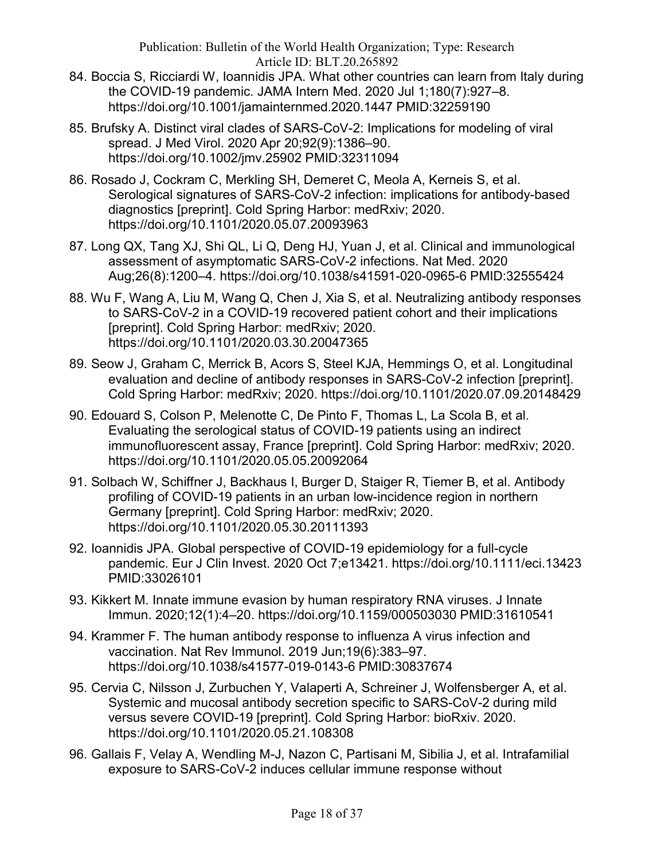- 84. Boccia S, Ricciardi W, Ioannidis JPA. What other countries can learn from Italy during the COVID-19 pandemic. JAMA Intern Med. 2020 Jul 1;180(7):927–8. https://doi.org/10.1001/jamainternmed.2020.1447 PMID:32259190
- 85. Brufsky A. Distinct viral clades of SARS-CoV-2: Implications for modeling of viral spread. J Med Virol. 2020 Apr 20;92(9):1386–90. https://doi.org/10.1002/jmv.25902 PMID:32311094
- 86. Rosado J, Cockram C, Merkling SH, Demeret C, Meola A, Kerneis S, et al. Serological signatures of SARS-CoV-2 infection: implications for antibody-based diagnostics [preprint]. Cold Spring Harbor: medRxiv; 2020. https://doi.org/10.1101/2020.05.07.20093963
- 87. Long QX, Tang XJ, Shi QL, Li Q, Deng HJ, Yuan J, et al. Clinical and immunological assessment of asymptomatic SARS-CoV-2 infections. Nat Med. 2020 Aug;26(8):1200–4. https://doi.org/10.1038/s41591-020-0965-6 PMID:32555424
- 88. Wu F, Wang A, Liu M, Wang Q, Chen J, Xia S, et al. Neutralizing antibody responses to SARS-CoV-2 in a COVID-19 recovered patient cohort and their implications [preprint]. Cold Spring Harbor: medRxiv; 2020. https://doi.org/10.1101/2020.03.30.20047365
- 89. Seow J, Graham C, Merrick B, Acors S, Steel KJA, Hemmings O, et al. Longitudinal evaluation and decline of antibody responses in SARS-CoV-2 infection [preprint]. Cold Spring Harbor: medRxiv; 2020. https://doi.org/10.1101/2020.07.09.20148429
- 90. Edouard S, Colson P, Melenotte C, De Pinto F, Thomas L, La Scola B, et al. Evaluating the serological status of COVID-19 patients using an indirect immunofluorescent assay, France [preprint]. Cold Spring Harbor: medRxiv; 2020. https://doi.org/10.1101/2020.05.05.20092064
- 91. Solbach W, Schiffner J, Backhaus I, Burger D, Staiger R, Tiemer B, et al. Antibody profiling of COVID-19 patients in an urban low-incidence region in northern Germany [preprint]. Cold Spring Harbor: medRxiv; 2020. https://doi.org/10.1101/2020.05.30.20111393
- 92. Ioannidis JPA. Global perspective of COVID-19 epidemiology for a full-cycle pandemic. Eur J Clin Invest. 2020 Oct 7;e13421. https://doi.org/10.1111/eci.13423 PMID:33026101
- 93. Kikkert M. Innate immune evasion by human respiratory RNA viruses. J Innate Immun. 2020;12(1):4–20. https://doi.org/10.1159/000503030 PMID:31610541
- 94. Krammer F. The human antibody response to influenza A virus infection and vaccination. Nat Rev Immunol. 2019 Jun;19(6):383–97. https://doi.org/10.1038/s41577-019-0143-6 PMID:30837674
- 95. Cervia C, Nilsson J, Zurbuchen Y, Valaperti A, Schreiner J, Wolfensberger A, et al. Systemic and mucosal antibody secretion specific to SARS-CoV-2 during mild versus severe COVID-19 [preprint]. Cold Spring Harbor: bioRxiv. 2020. https://doi.org/10.1101/2020.05.21.108308
- 96. Gallais F, Velay A, Wendling M-J, Nazon C, Partisani M, Sibilia J, et al. Intrafamilial exposure to SARS-CoV-2 induces cellular immune response without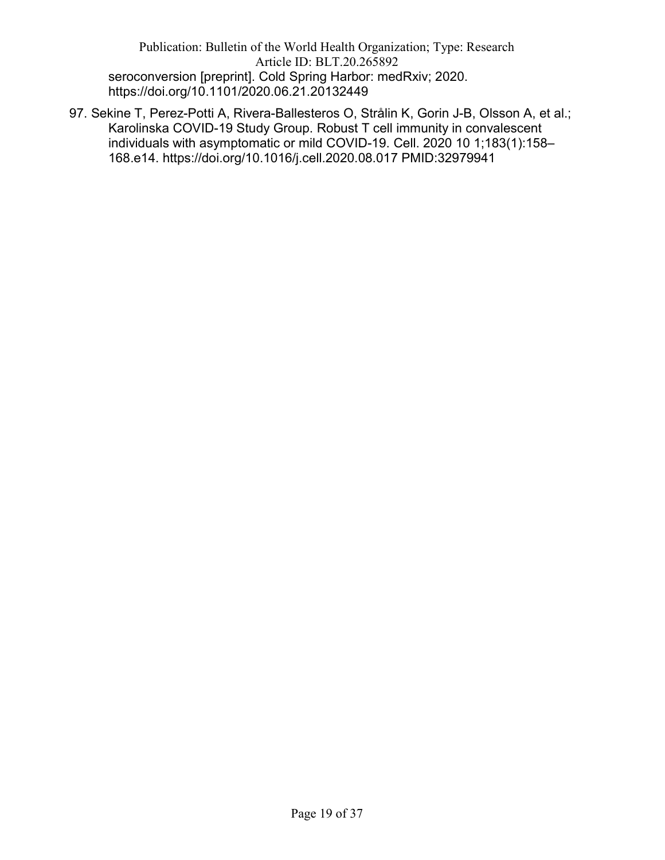Publication: Bulletin of the World Health Organization; Type: Research Article ID: BLT.20.265892 seroconversion [preprint]. Cold Spring Harbor: medRxiv; 2020. https://doi.org/10.1101/2020.06.21.20132449

97. Sekine T, Perez-Potti A, Rivera-Ballesteros O, Strålin K, Gorin J-B, Olsson A, et al.; Karolinska COVID-19 Study Group. Robust T cell immunity in convalescent individuals with asymptomatic or mild COVID-19. Cell. 2020 10 1;183(1):158– 168.e14. https://doi.org/10.1016/j.cell.2020.08.017 PMID:32979941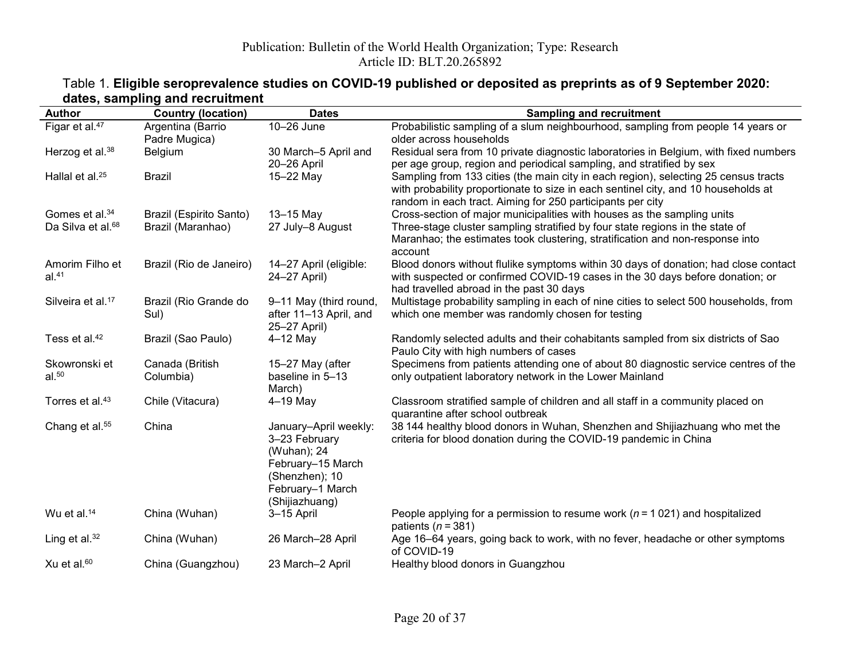## Table 1. Eligible seroprevalence studies on COVID-19 published or deposited as preprints as of 9 September 2020: dates, sampling and recruitment

| <b>Author</b>                      | <b>Country (location)</b>          | <b>Dates</b>                                                                                                                       | <b>Sampling and recruitment</b>                                                                                                                                                                                                         |
|------------------------------------|------------------------------------|------------------------------------------------------------------------------------------------------------------------------------|-----------------------------------------------------------------------------------------------------------------------------------------------------------------------------------------------------------------------------------------|
| Figar et al. <sup>47</sup>         | Argentina (Barrio<br>Padre Mugica) | 10-26 June                                                                                                                         | Probabilistic sampling of a slum neighbourhood, sampling from people 14 years or<br>older across households                                                                                                                             |
| Herzog et al. <sup>38</sup>        | Belgium                            | 30 March-5 April and<br>20-26 April                                                                                                | Residual sera from 10 private diagnostic laboratories in Belgium, with fixed numbers<br>per age group, region and periodical sampling, and stratified by sex                                                                            |
| Hallal et al. <sup>25</sup>        | Brazil                             | 15-22 May                                                                                                                          | Sampling from 133 cities (the main city in each region), selecting 25 census tracts<br>with probability proportionate to size in each sentinel city, and 10 households at<br>random in each tract. Aiming for 250 participants per city |
| Gomes et al. <sup>34</sup>         | Brazil (Espirito Santo)            | 13-15 May                                                                                                                          | Cross-section of major municipalities with houses as the sampling units                                                                                                                                                                 |
| Da Silva et al. <sup>68</sup>      | Brazil (Maranhao)                  | 27 July-8 August                                                                                                                   | Three-stage cluster sampling stratified by four state regions in the state of<br>Maranhao; the estimates took clustering, stratification and non-response into<br>account                                                               |
| Amorim Filho et<br>al.41           | Brazil (Rio de Janeiro)            | 14-27 April (eligible:<br>24-27 April)                                                                                             | Blood donors without flulike symptoms within 30 days of donation; had close contact<br>with suspected or confirmed COVID-19 cases in the 30 days before donation; or<br>had travelled abroad in the past 30 days                        |
| Silveira et al. <sup>17</sup>      | Brazil (Rio Grande do<br>Sul)      | 9-11 May (third round,<br>after 11-13 April, and<br>25-27 April)                                                                   | Multistage probability sampling in each of nine cities to select 500 households, from<br>which one member was randomly chosen for testing                                                                                               |
| Tess et al. <sup>42</sup>          | Brazil (Sao Paulo)                 | $4-12$ May                                                                                                                         | Randomly selected adults and their cohabitants sampled from six districts of Sao<br>Paulo City with high numbers of cases                                                                                                               |
| Skowronski et<br>al. <sup>50</sup> | Canada (British<br>Columbia)       | 15-27 May (after<br>baseline in 5-13<br>March)                                                                                     | Specimens from patients attending one of about 80 diagnostic service centres of the<br>only outpatient laboratory network in the Lower Mainland                                                                                         |
| Torres et al. <sup>43</sup>        | Chile (Vitacura)                   | $4-19$ May                                                                                                                         | Classroom stratified sample of children and all staff in a community placed on<br>quarantine after school outbreak                                                                                                                      |
| Chang et al. <sup>55</sup>         | China                              | January-April weekly:<br>3-23 February<br>(Wuhan); 24<br>February-15 March<br>(Shenzhen); 10<br>February-1 March<br>(Shijiazhuang) | 38 144 healthy blood donors in Wuhan, Shenzhen and Shijiazhuang who met the<br>criteria for blood donation during the COVID-19 pandemic in China                                                                                        |
| Wu et al. <sup>14</sup>            | China (Wuhan)                      | 3-15 April                                                                                                                         | People applying for a permission to resume work ( $n = 1021$ ) and hospitalized<br>patients ( $n = 381$ )                                                                                                                               |
| Ling et al. $32$                   | China (Wuhan)                      | 26 March-28 April                                                                                                                  | Age 16–64 years, going back to work, with no fever, headache or other symptoms<br>of COVID-19                                                                                                                                           |
| Xu et al. <sup>60</sup>            | China (Guangzhou)                  | 23 March-2 April                                                                                                                   | Healthy blood donors in Guangzhou                                                                                                                                                                                                       |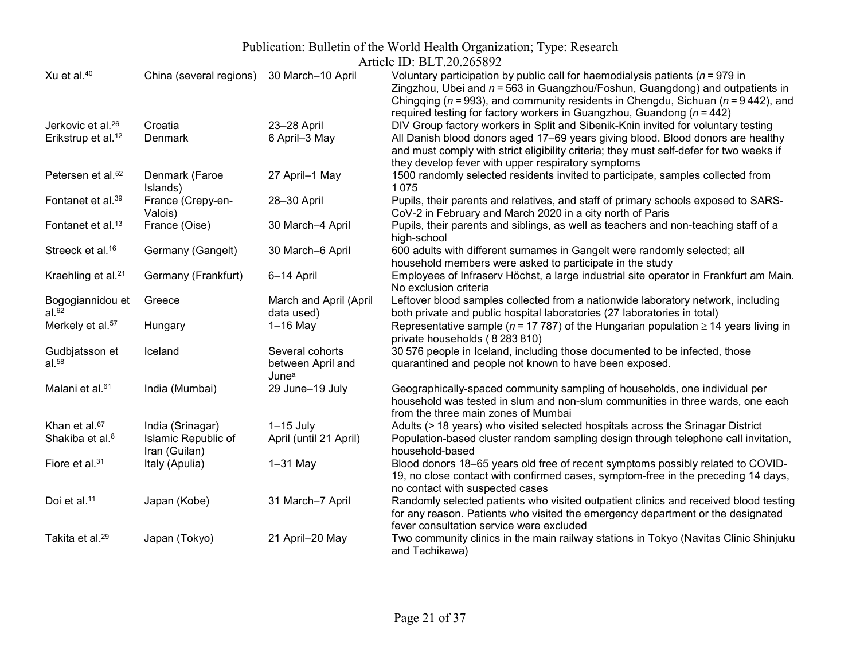### Publication: Bulletin of the World Health Organization; Type: Research

|                                       |                                      |                                                                  | AHUUU ID. DLT.20.200072                                                                                                                                                                                                                                                                                                                      |
|---------------------------------------|--------------------------------------|------------------------------------------------------------------|----------------------------------------------------------------------------------------------------------------------------------------------------------------------------------------------------------------------------------------------------------------------------------------------------------------------------------------------|
| Xu et al. <sup>40</sup>               | China (several regions)              | 30 March-10 April                                                | Voluntary participation by public call for haemodialysis patients ( $n = 979$ in<br>Zingzhou, Ubei and $n = 563$ in Guangzhou/Foshun, Guangdong) and outpatients in<br>Chingqing ( $n = 993$ ), and community residents in Chengdu, Sichuan ( $n = 9442$ ), and<br>required testing for factory workers in Guangzhou, Guandong ( $n = 442$ ) |
| Jerkovic et al. <sup>26</sup>         | Croatia                              | 23-28 April                                                      | DIV Group factory workers in Split and Sibenik-Knin invited for voluntary testing                                                                                                                                                                                                                                                            |
| Erikstrup et al. <sup>12</sup>        | Denmark                              | 6 April-3 May                                                    | All Danish blood donors aged 17-69 years giving blood. Blood donors are healthy<br>and must comply with strict eligibility criteria; they must self-defer for two weeks if<br>they develop fever with upper respiratory symptoms                                                                                                             |
| Petersen et al. <sup>52</sup>         | Denmark (Faroe<br>Islands)           | 27 April-1 May                                                   | 1500 randomly selected residents invited to participate, samples collected from<br>1075                                                                                                                                                                                                                                                      |
| Fontanet et al. <sup>39</sup>         | France (Crepy-en-<br>Valois)         | 28-30 April                                                      | Pupils, their parents and relatives, and staff of primary schools exposed to SARS-<br>CoV-2 in February and March 2020 in a city north of Paris                                                                                                                                                                                              |
| Fontanet et al. <sup>13</sup>         | France (Oise)                        | 30 March-4 April                                                 | Pupils, their parents and siblings, as well as teachers and non-teaching staff of a<br>high-school                                                                                                                                                                                                                                           |
| Streeck et al. <sup>16</sup>          | Germany (Gangelt)                    | 30 March-6 April                                                 | 600 adults with different surnames in Gangelt were randomly selected; all<br>household members were asked to participate in the study                                                                                                                                                                                                        |
| Kraehling et al. <sup>21</sup>        | Germany (Frankfurt)                  | 6-14 April                                                       | Employees of Infraserv Höchst, a large industrial site operator in Frankfurt am Main.<br>No exclusion criteria                                                                                                                                                                                                                               |
| Bogogiannidou et<br>al. <sup>62</sup> | Greece                               | March and April (April<br>data used)                             | Leftover blood samples collected from a nationwide laboratory network, including<br>both private and public hospital laboratories (27 laboratories in total)                                                                                                                                                                                 |
| Merkely et al. <sup>57</sup>          | Hungary                              | $1-16$ May                                                       | Representative sample ( $n = 17787$ ) of the Hungarian population $\ge 14$ years living in<br>private households (8283810)                                                                                                                                                                                                                   |
| Gudbjatsson et<br>al. <sup>58</sup>   | Iceland                              | Several cohorts<br>between April and<br><b>June</b> <sup>a</sup> | 30 576 people in Iceland, including those documented to be infected, those<br>quarantined and people not known to have been exposed.                                                                                                                                                                                                         |
| Malani et al. <sup>61</sup>           | India (Mumbai)                       | 29 June-19 July                                                  | Geographically-spaced community sampling of households, one individual per<br>household was tested in slum and non-slum communities in three wards, one each<br>from the three main zones of Mumbai                                                                                                                                          |
| Khan et al. <sup>67</sup>             | India (Srinagar)                     | $1-15$ July                                                      | Adults (> 18 years) who visited selected hospitals across the Srinagar District                                                                                                                                                                                                                                                              |
| Shakiba et al. <sup>8</sup>           | Islamic Republic of<br>Iran (Guilan) | April (until 21 April)                                           | Population-based cluster random sampling design through telephone call invitation,<br>household-based                                                                                                                                                                                                                                        |
| Fiore et al. <sup>31</sup>            | Italy (Apulia)                       | $1-31$ May                                                       | Blood donors 18-65 years old free of recent symptoms possibly related to COVID-<br>19, no close contact with confirmed cases, symptom-free in the preceding 14 days,<br>no contact with suspected cases                                                                                                                                      |
| Doi et al. <sup>11</sup>              | Japan (Kobe)                         | 31 March-7 April                                                 | Randomly selected patients who visited outpatient clinics and received blood testing<br>for any reason. Patients who visited the emergency department or the designated<br>fever consultation service were excluded                                                                                                                          |
| Takita et al. <sup>29</sup>           | Japan (Tokyo)                        | 21 April-20 May                                                  | Two community clinics in the main railway stations in Tokyo (Navitas Clinic Shinjuku<br>and Tachikawa)                                                                                                                                                                                                                                       |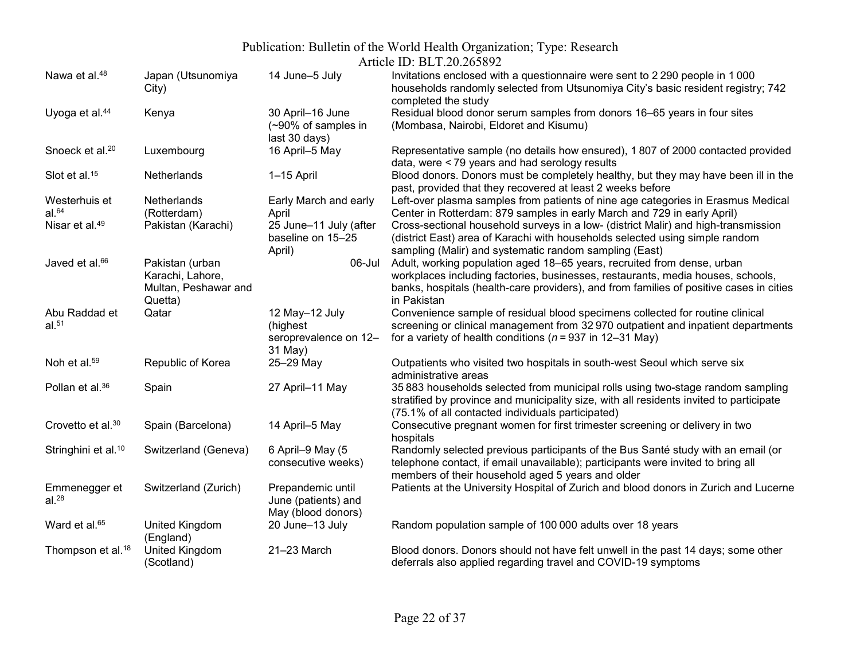## Publication: Bulletin of the World Health Organization; Type: Research

Article ID: BLT.20.265892

| Nawa et al. <sup>48</sup>       | Japan (Utsunomiya<br>City) | 14 June-5 July                                                       | Invitations enclosed with a questionnaire were sent to 2 290 people in 1 000<br>households randomly selected from Utsunomiya City's basic resident registry; 742<br>completed the study                                         |
|---------------------------------|----------------------------|----------------------------------------------------------------------|---------------------------------------------------------------------------------------------------------------------------------------------------------------------------------------------------------------------------------|
| Uyoga et al. <sup>44</sup>      | Kenya                      | 30 April-16 June<br>$(-90\% \text{ of samples in})$<br>last 30 days) | Residual blood donor serum samples from donors 16–65 years in four sites<br>(Mombasa, Nairobi, Eldoret and Kisumu)                                                                                                              |
| Snoeck et al. <sup>20</sup>     | Luxembourg                 | 16 April-5 May                                                       | Representative sample (no details how ensured), 1807 of 2000 contacted provided<br>data, were < 79 years and had serology results                                                                                               |
| Slot et al. <sup>15</sup>       | Netherlands                | 1-15 April                                                           | Blood donors. Donors must be completely healthy, but they may have been ill in the<br>past, provided that they recovered at least 2 weeks before                                                                                |
| Westerhuis et                   | Netherlands                | Early March and early                                                | Left-over plasma samples from patients of nine age categories in Erasmus Medical                                                                                                                                                |
| al. <sup>64</sup>               | (Rotterdam)                | April                                                                | Center in Rotterdam: 879 samples in early March and 729 in early April)                                                                                                                                                         |
| Nisar et al. <sup>49</sup>      | Pakistan (Karachi)         | 25 June-11 July (after                                               | Cross-sectional household surveys in a low- (district Malir) and high-transmission                                                                                                                                              |
|                                 |                            | baseline on 15-25                                                    | (district East) area of Karachi with households selected using simple random                                                                                                                                                    |
|                                 |                            | April)                                                               | sampling (Malir) and systematic random sampling (East)                                                                                                                                                                          |
| Javed et al. <sup>66</sup>      | Pakistan (urban            | 06-Jul                                                               | Adult, working population aged 18–65 years, recruited from dense, urban                                                                                                                                                         |
|                                 | Karachi, Lahore,           |                                                                      | workplaces including factories, businesses, restaurants, media houses, schools,                                                                                                                                                 |
|                                 | Multan, Peshawar and       |                                                                      | banks, hospitals (health-care providers), and from families of positive cases in cities                                                                                                                                         |
|                                 | Quetta)                    |                                                                      | in Pakistan                                                                                                                                                                                                                     |
| Abu Raddad et                   | Qatar                      | 12 May-12 July                                                       | Convenience sample of residual blood specimens collected for routine clinical                                                                                                                                                   |
| $al.^{51}$                      |                            | (highest                                                             | screening or clinical management from 32 970 outpatient and inpatient departments                                                                                                                                               |
|                                 |                            | seroprevalence on 12-<br>31 May)                                     | for a variety of health conditions ( $n = 937$ in 12–31 May)                                                                                                                                                                    |
| Noh et al. <sup>59</sup>        | Republic of Korea          | 25-29 May                                                            | Outpatients who visited two hospitals in south-west Seoul which serve six<br>administrative areas                                                                                                                               |
| Pollan et al. <sup>36</sup>     | Spain                      | 27 April-11 May                                                      | 35 883 households selected from municipal rolls using two-stage random sampling<br>stratified by province and municipality size, with all residents invited to participate<br>(75.1% of all contacted individuals participated) |
| Crovetto et al. <sup>30</sup>   | Spain (Barcelona)          | 14 April-5 May                                                       | Consecutive pregnant women for first trimester screening or delivery in two                                                                                                                                                     |
|                                 |                            |                                                                      | hospitals                                                                                                                                                                                                                       |
| Stringhini et al. <sup>10</sup> | Switzerland (Geneva)       | 6 April-9 May (5                                                     | Randomly selected previous participants of the Bus Santé study with an email (or                                                                                                                                                |
|                                 |                            | consecutive weeks)                                                   | telephone contact, if email unavailable); participants were invited to bring all                                                                                                                                                |
|                                 |                            |                                                                      | members of their household aged 5 years and older                                                                                                                                                                               |
| Emmenegger et                   | Switzerland (Zurich)       | Prepandemic until                                                    | Patients at the University Hospital of Zurich and blood donors in Zurich and Lucerne                                                                                                                                            |
| al. $^{28}$                     |                            | June (patients) and                                                  |                                                                                                                                                                                                                                 |
|                                 |                            | May (blood donors)                                                   |                                                                                                                                                                                                                                 |
| Ward et al. <sup>65</sup>       | United Kingdom             | 20 June-13 July                                                      | Random population sample of 100 000 adults over 18 years                                                                                                                                                                        |
|                                 | (England)                  |                                                                      |                                                                                                                                                                                                                                 |
| Thompson et al. <sup>18</sup>   | United Kingdom             | 21-23 March                                                          | Blood donors. Donors should not have felt unwell in the past 14 days; some other                                                                                                                                                |
|                                 | (Scotland)                 |                                                                      | deferrals also applied regarding travel and COVID-19 symptoms                                                                                                                                                                   |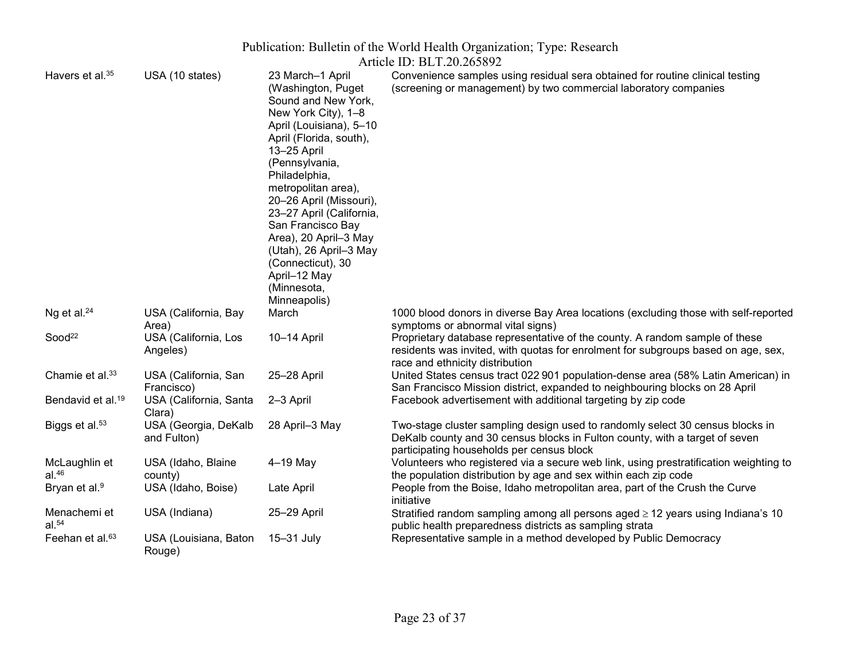| Publication: Bulletin of the World Health Organization; Type: Research |                                     |                                                                                                                                                                                                                                                                                                                                                                                                                        |                                                                                                                                                                                                           |  |  |  |
|------------------------------------------------------------------------|-------------------------------------|------------------------------------------------------------------------------------------------------------------------------------------------------------------------------------------------------------------------------------------------------------------------------------------------------------------------------------------------------------------------------------------------------------------------|-----------------------------------------------------------------------------------------------------------------------------------------------------------------------------------------------------------|--|--|--|
| Article ID: BLT.20.265892                                              |                                     |                                                                                                                                                                                                                                                                                                                                                                                                                        |                                                                                                                                                                                                           |  |  |  |
| Havers et al. <sup>35</sup>                                            | USA (10 states)                     | 23 March-1 April<br>(Washington, Puget<br>Sound and New York,<br>New York City), 1-8<br>April (Louisiana), 5-10<br>April (Florida, south),<br>13-25 April<br>(Pennsylvania,<br>Philadelphia,<br>metropolitan area),<br>20-26 April (Missouri),<br>23-27 April (California,<br>San Francisco Bay<br>Area), 20 April-3 May<br>(Utah), 26 April-3 May<br>(Connecticut), 30<br>April-12 May<br>(Minnesota,<br>Minneapolis) | Convenience samples using residual sera obtained for routine clinical testing<br>(screening or management) by two commercial laboratory companies                                                         |  |  |  |
| Ng et al. $24$                                                         | USA (California, Bay<br>Area)       | March                                                                                                                                                                                                                                                                                                                                                                                                                  | 1000 blood donors in diverse Bay Area locations (excluding those with self-reported<br>symptoms or abnormal vital signs)                                                                                  |  |  |  |
| Sood <sup>22</sup>                                                     | USA (California, Los<br>Angeles)    | 10-14 April                                                                                                                                                                                                                                                                                                                                                                                                            | Proprietary database representative of the county. A random sample of these<br>residents was invited, with quotas for enrolment for subgroups based on age, sex,<br>race and ethnicity distribution       |  |  |  |
| Chamie et al. <sup>33</sup>                                            | USA (California, San<br>Francisco)  | 25-28 April                                                                                                                                                                                                                                                                                                                                                                                                            | United States census tract 022 901 population-dense area (58% Latin American) in<br>San Francisco Mission district, expanded to neighbouring blocks on 28 April                                           |  |  |  |
| Bendavid et al. <sup>19</sup>                                          | USA (California, Santa<br>Clara)    | 2-3 April                                                                                                                                                                                                                                                                                                                                                                                                              | Facebook advertisement with additional targeting by zip code                                                                                                                                              |  |  |  |
| Biggs et al. <sup>53</sup>                                             | USA (Georgia, DeKalb<br>and Fulton) | 28 April-3 May                                                                                                                                                                                                                                                                                                                                                                                                         | Two-stage cluster sampling design used to randomly select 30 census blocks in<br>DeKalb county and 30 census blocks in Fulton county, with a target of seven<br>participating households per census block |  |  |  |
| McLaughlin et<br>al. <sup>46</sup>                                     | USA (Idaho, Blaine<br>county)       | $4-19$ May                                                                                                                                                                                                                                                                                                                                                                                                             | Volunteers who registered via a secure web link, using prestratification weighting to<br>the population distribution by age and sex within each zip code                                                  |  |  |  |
| Bryan et al. <sup>9</sup>                                              | USA (Idaho, Boise)                  | Late April                                                                                                                                                                                                                                                                                                                                                                                                             | People from the Boise, Idaho metropolitan area, part of the Crush the Curve<br>initiative                                                                                                                 |  |  |  |
| Menachemi et<br>al. $54$                                               | USA (Indiana)                       | 25-29 April                                                                                                                                                                                                                                                                                                                                                                                                            | Stratified random sampling among all persons aged $\geq$ 12 years using Indiana's 10<br>public health preparedness districts as sampling strata                                                           |  |  |  |
| Feehan et al. <sup>63</sup>                                            | USA (Louisiana, Baton<br>Rouge)     | 15-31 July                                                                                                                                                                                                                                                                                                                                                                                                             | Representative sample in a method developed by Public Democracy                                                                                                                                           |  |  |  |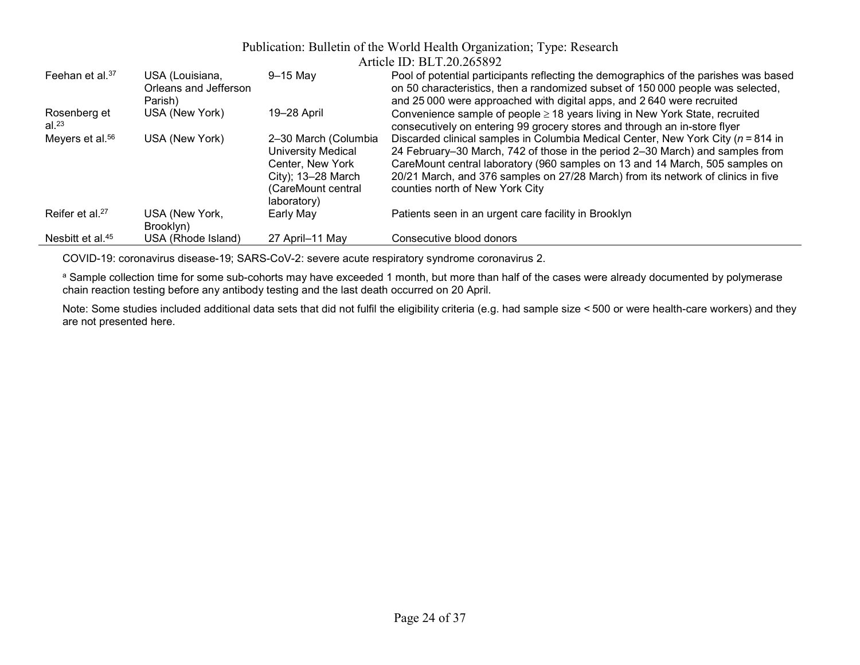|                              |                       |                      | ATTICIC ID. DLT. $\angle 0.203092$                                                   |
|------------------------------|-----------------------|----------------------|--------------------------------------------------------------------------------------|
| Feehan et al. $37$           | USA (Louisiana,       | $9-15$ May           | Pool of potential participants reflecting the demographics of the parishes was based |
|                              | Orleans and Jefferson |                      | on 50 characteristics, then a randomized subset of 150 000 people was selected,      |
|                              | Parish)               |                      | and 25 000 were approached with digital apps, and 2 640 were recruited               |
| Rosenberg et                 | USA (New York)        | 19-28 April          | Convenience sample of people $\geq$ 18 years living in New York State, recruited     |
| al. $^{23}$                  |                       |                      | consecutively on entering 99 grocery stores and through an in-store flyer            |
| Meyers et al. <sup>56</sup>  | USA (New York)        | 2-30 March (Columbia | Discarded clinical samples in Columbia Medical Center, New York City ( $n = 814$ in  |
|                              |                       | University Medical   | 24 February–30 March, 742 of those in the period 2–30 March) and samples from        |
|                              |                       | Center, New York     | CareMount central laboratory (960 samples on 13 and 14 March, 505 samples on         |
|                              |                       | City); 13-28 March   | 20/21 March, and 376 samples on 27/28 March) from its network of clinics in five     |
|                              |                       | (CareMount central   | counties north of New York City                                                      |
|                              |                       | laboratory)          |                                                                                      |
| Reifer et al. <sup>27</sup>  | USA (New York,        | Early May            | Patients seen in an urgent care facility in Brooklyn                                 |
|                              | Brooklyn)             |                      |                                                                                      |
| Nesbitt et al. <sup>45</sup> | USA (Rhode Island)    | 27 April-11 May      | Consecutive blood donors                                                             |

COVID-19: coronavirus disease-19; SARS-CoV-2: severe acute respiratory syndrome coronavirus 2.

a Sample collection time for some sub-cohorts may have exceeded 1 month, but more than half of the cases were already documented by polymerase chain reaction testing before any antibody testing and the last death occurred on 20 April.

Note: Some studies included additional data sets that did not fulfil the eligibility criteria (e.g. had sample size < 500 or were health-care workers) and they are not presented here.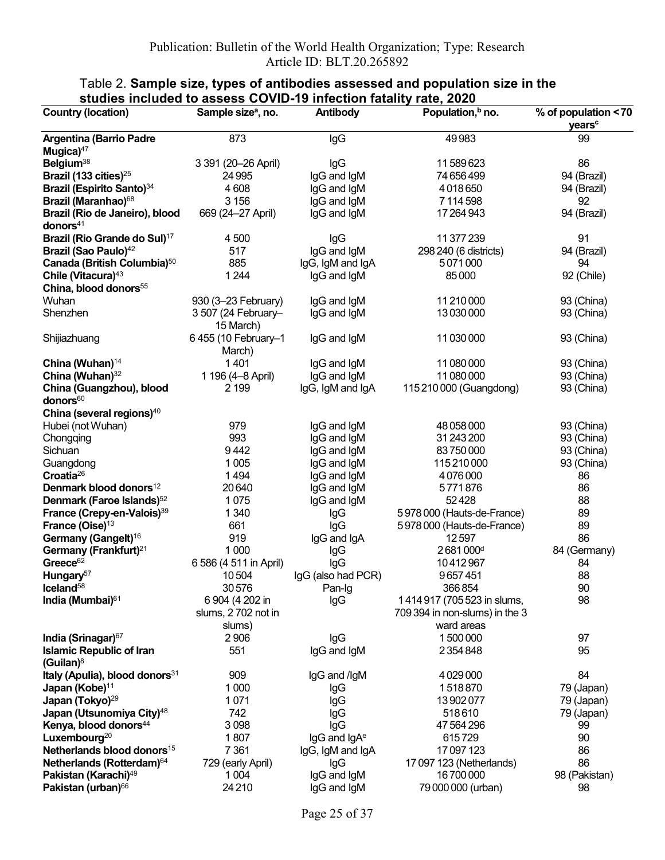| <b>Country (location)</b>                                | Sample size <sup>a</sup> , no.   | Antibody                 | Population, <sup>b</sup> no.   | % of population < 70<br>years <sup>c</sup> |
|----------------------------------------------------------|----------------------------------|--------------------------|--------------------------------|--------------------------------------------|
| <b>Argentina (Barrio Padre</b><br>Mugica $47$            | 873                              | lgG                      | 49983                          | 99                                         |
| Belgium <sup>38</sup>                                    | 3 391 (20-26 April)              | lgG                      | 11589623                       | 86                                         |
| Brazil (133 cities) <sup>25</sup>                        | 24 9 95                          | IgG and IgM              | 74 656 499                     | 94 (Brazil)                                |
| <b>Brazil (Espirito Santo)</b> 34                        | 4608                             | IgG and IgM              | 4018650                        | 94 (Brazil)                                |
| Brazil (Maranhao) <sup>68</sup>                          | 3 1 5 6                          | IgG and IgM              | 7114598                        | 92                                         |
| Brazil (Rio de Janeiro), blood                           | 669 (24-27 April)                | IgG and IgM              | 17264943                       | 94 (Brazil)                                |
| donors $41$                                              |                                  |                          |                                |                                            |
| Brazil (Rio Grande do Sul) <sup>17</sup>                 | 4 500                            | lgG                      | 11 377 239                     | 91                                         |
| Brazil (Sao Paulo) <sup>42</sup>                         | 517                              | IgG and IgM              | 298 240 (6 districts)          | 94 (Brazil)                                |
| Canada (British Columbia) <sup>50</sup>                  | 885                              | IgG, IgM and IgA         | 5071000                        | 94                                         |
| Chile (Vitacura) <sup>43</sup>                           | 1 2 4 4                          | IgG and IgM              | 85000                          | 92 (Chile)                                 |
| China, blood donors <sup>55</sup>                        |                                  |                          |                                |                                            |
| Wuhan                                                    | 930 (3-23 February)              | IgG and IgM              | 11 210 000                     | 93 (China)                                 |
| Shenzhen                                                 |                                  |                          | 13030000                       |                                            |
|                                                          | 3 507 (24 February-<br>15 March) | IgG and IgM              |                                | 93 (China)                                 |
| Shijiazhuang                                             | 6455 (10 February-1<br>March)    | IgG and IgM              | 11 030 000                     | 93 (China)                                 |
| China (Wuhan) <sup>14</sup>                              | 1401                             | IgG and IgM              | 11 080 000                     | 93 (China)                                 |
| China (Wuhan) <sup>32</sup>                              | 1 196 (4-8 April)                | IgG and IgM              | 11 080 000                     | 93 (China)                                 |
| China (Guangzhou), blood<br>donors <sup>60</sup>         | 2 1 9 9                          | IgG, IgM and IgA         | 115 210 000 (Guangdong)        | 93 (China)                                 |
| China (several regions) <sup>40</sup>                    |                                  |                          |                                |                                            |
| Hubei (not Wuhan)                                        | 979                              | IgG and IgM              | 48 058 000                     | 93 (China)                                 |
| Chongqing                                                | 993                              | IgG and IgM              | 31 243 200                     | 93 (China)                                 |
| Sichuan                                                  | 9442                             | IgG and IgM              | 83750000                       | 93 (China)                                 |
| Guangdong                                                | 1 0 0 5                          | IgG and IgM              | 115210000                      | 93 (China)                                 |
| Croatia <sup>26</sup>                                    | 1494                             | IgG and IgM              | 4076000                        | 86                                         |
| Denmark blood donors <sup>12</sup>                       | 20640                            | IgG and IgM              | 5771876                        | 86                                         |
| Denmark (Faroe Islands) <sup>52</sup>                    | 1075                             | IgG and IgM              | 52428                          | 88                                         |
| France (Crepy-en-Valois) <sup>39</sup>                   | 1 3 4 0                          | lgG                      | 5978000 (Hauts-de-France)      | 89                                         |
| France (Oise) <sup>13</sup>                              | 661                              | lgG                      | 5978000 (Hauts-de-France)      | 89                                         |
| Germany (Gangelt) <sup>16</sup>                          | 919                              | IgG and IgA              | 12597                          | 86                                         |
| Germany (Frankfurt) <sup>21</sup>                        | 1 0 0 0                          | lgG                      | 2681000 <sup>d</sup>           | 84 (Germany)                               |
| Greece <sup>62</sup>                                     | 6 586 (4 511 in April)           | lgG                      | 10412967                       | 84                                         |
| Hungary <sup>57</sup>                                    | 10504                            | IgG (also had PCR)       | 9657451                        | 88                                         |
| $l$ celand <sup>58</sup>                                 | 30576                            | Pan-Ig                   | 366854                         | 90                                         |
| India (Mumbai) <sup>61</sup>                             | 6 904 (4 202 in                  | lgG                      | 1414917 (705 523 in slums,     | 98                                         |
|                                                          | slums, 2702 not in               |                          | 709 394 in non-slums) in the 3 |                                            |
|                                                          | slums)                           |                          | ward areas                     |                                            |
| India (Srinagar) <sup>67</sup>                           | 2 9 0 6                          | lgG                      | 1500000                        | 97                                         |
| <b>Islamic Republic of Iran</b><br>(Guilan) <sup>8</sup> | 551                              | IgG and IgM              | 2354848                        | 95                                         |
| Italy (Apulia), blood donors <sup>31</sup>               | 909                              | IgG and /IgM             | 4029000                        | 84                                         |
| Japan (Kobe) <sup>11</sup>                               | 1 0 0 0                          |                          | 1518870                        | 79 (Japan)                                 |
| Japan (Tokyo) <sup>29</sup>                              | 1071                             | lgG                      | 13902077                       |                                            |
| Japan (Utsunomiya City) <sup>48</sup>                    | 742                              | lgG                      | 518610                         | 79 (Japan)                                 |
|                                                          |                                  | lgG                      |                                | 79 (Japan)                                 |
| Kenya, blood donors <sup>44</sup>                        | 3098                             | lgG                      | 47 564 296                     | 99                                         |
| Luxembourg <sup>20</sup>                                 | 1807                             | IgG and IgA <sup>e</sup> | 615729                         | 90                                         |
| Netherlands blood donors <sup>15</sup>                   | 7 3 6 1                          | IgG, IgM and IgA         | 17097123                       | 86                                         |
| Netherlands (Rotterdam) <sup>64</sup>                    | 729 (early April)                | lgG                      | 17 097 123 (Netherlands)       | 86                                         |
| Pakistan (Karachi) <sup>49</sup>                         | 1 0 0 4                          | IgG and IgM              | 16700000                       | 98 (Pakistan)                              |
| Pakistan (urban) <sup>66</sup>                           | 24 2 10                          | IgG and IgM              | 79 000 000 (urban)             | 98                                         |

#### Table 2. Sample size, types of antibodies assessed and population size in the studies included to assess COVID-19 infection fatality rate, 2020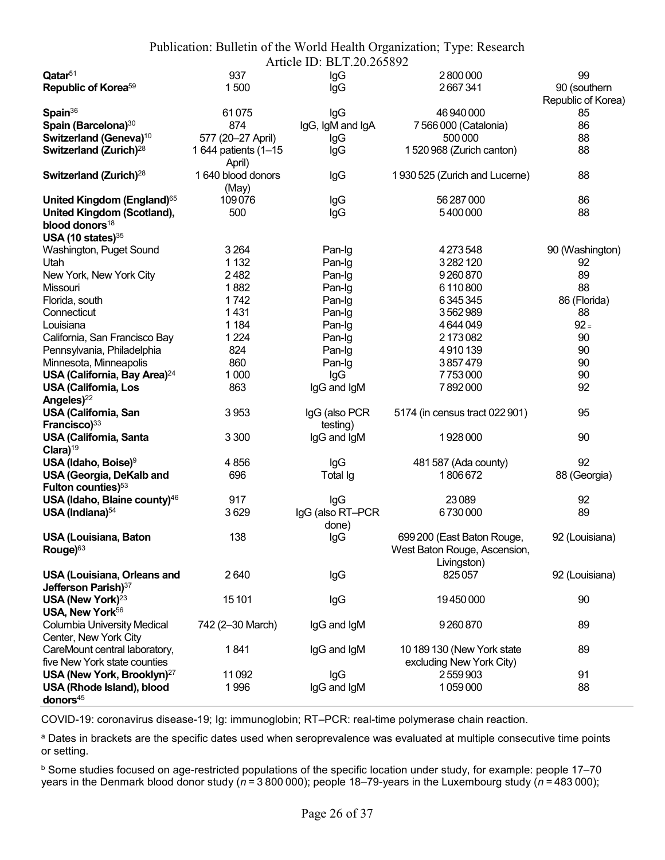| Publication: Bulletin of the World Health Organization; Type: Research |  |
|------------------------------------------------------------------------|--|
| Article ID: BLT.20.265892                                              |  |

|                                          |                      | 1 HUNG ID: DET:20:205072 |                                |                    |
|------------------------------------------|----------------------|--------------------------|--------------------------------|--------------------|
| $\mathsf{Q}$ atar $^{51}$                | 937                  | lgG                      | 2800000                        | 99                 |
| Republic of Korea <sup>59</sup>          | 1500                 | lgG                      | 2667341                        | 90 (southern       |
|                                          |                      |                          |                                | Republic of Korea) |
| Spain <sup>36</sup>                      | 61075                | lgG                      | 46 940 000                     | 85                 |
| Spain (Barcelona) <sup>30</sup>          | 874                  | IgG, IgM and IgA         | 7 566 000 (Catalonia)          | 86                 |
| Switzerland (Geneva) <sup>10</sup>       | 577 (20-27 April)    | lgG                      | 500 000                        | 88                 |
|                                          |                      |                          |                                |                    |
| Switzerland (Zurich) <sup>28</sup>       | 1 644 patients (1-15 | lgG                      | 1520968 (Zurich canton)        | 88                 |
|                                          | April)               |                          |                                |                    |
| Switzerland (Zurich) <sup>28</sup>       | 1 640 blood donors   | lgG                      | 1930 525 (Zurich and Lucerne)  | 88                 |
|                                          | (May)                |                          |                                |                    |
| United Kingdom (England) <sup>65</sup>   | 109076               | lgG                      | 56 287 000                     | 86                 |
| <b>United Kingdom (Scotland),</b>        | 500                  | lgG                      | 5400000                        | 88                 |
| blood donors <sup>18</sup>               |                      |                          |                                |                    |
| USA (10 states) $35$                     |                      |                          |                                |                    |
| Washington, Puget Sound                  | 3 2 6 4              | Pan-Ig                   | 4 273 548                      | 90 (Washington)    |
| Utah                                     | 1 1 3 2              |                          |                                |                    |
|                                          |                      | Pan-Ig                   | 3282120                        | 92                 |
| New York, New York City                  | 2482                 | Pan-Ig                   | 9260870                        | 89                 |
| Missouri                                 | 1882                 | Pan-Ig                   | 6110800                        | 88                 |
| Florida, south                           | 1742                 | Pan-Ig                   | 6345345                        | 86 (Florida)       |
| Connecticut                              | 1431                 | Pan-Ig                   | 3562989                        | 88                 |
| Louisiana                                | 1 1 8 4              | Pan-Ig                   | 4644049                        | $92 =$             |
| California, San Francisco Bay            | 1 2 2 4              | Pan-Ig                   | 2173082                        | 90                 |
| Pennsylvania, Philadelphia               | 824                  | Pan-Ig                   | 4910139                        | 90                 |
|                                          |                      |                          |                                |                    |
| Minnesota, Minneapolis                   | 860                  | Pan-Ig                   | 3857479                        | 90                 |
| USA (California, Bay Area) <sup>24</sup> | 1 0 0 0              | lgG                      | 7753000                        | 90                 |
| <b>USA (California, Los</b>              | 863                  | IgG and IgM              | 7892000                        | 92                 |
| Angeles) <sup>22</sup>                   |                      |                          |                                |                    |
| USA (California, San                     | 3953                 | IgG (also PCR            | 5174 (in census tract 022 901) | 95                 |
| Francisco) <sup>33</sup>                 |                      | testing)                 |                                |                    |
| <b>USA (California, Santa</b>            | 3 3 0 0              | IgG and IgM              | 1928000                        | 90                 |
| $Clara$ <sup>19</sup>                    |                      |                          |                                |                    |
| USA (Idaho, Boise) $9$                   | 4856                 | lgG                      | 481 587 (Ada county)           | 92                 |
|                                          |                      |                          |                                |                    |
| <b>USA (Georgia, DeKalb and</b>          | 696                  | Total Ig                 | 1806672                        | 88 (Georgia)       |
| Fulton counties) <sup>53</sup>           |                      |                          |                                |                    |
| USA (Idaho, Blaine county) <sup>46</sup> | 917                  | lgG                      | 23089                          | 92                 |
| USA (Indiana) <sup>54</sup>              | 3629                 | IgG (also RT-PCR         | 6730000                        | 89                 |
|                                          |                      | done)                    |                                |                    |
| <b>USA (Louisiana, Baton</b>             | 138                  | lgG                      | 699 200 (East Baton Rouge,     | 92 (Louisiana)     |
| Rouge) <sup>63</sup>                     |                      |                          | West Baton Rouge, Ascension,   |                    |
|                                          |                      |                          | Livingston)                    |                    |
| <b>USA (Louisiana, Orleans and</b>       | 2640                 | lgG                      | 825057                         | 92 (Louisiana)     |
|                                          |                      |                          |                                |                    |
| Jefferson Parish) <sup>37</sup>          |                      |                          |                                |                    |
| USA (New York) <sup>23</sup>             | 15101                | lgG                      | 19450000                       | 90                 |
| USA, New York <sup>56</sup>              |                      |                          |                                |                    |
| Columbia University Medical              | 742 (2-30 March)     | IgG and IgM              | 9260870                        | 89                 |
| Center, New York City                    |                      |                          |                                |                    |
| CareMount central laboratory,            | 1841                 | IgG and IgM              | 10 189 130 (New York state     | 89                 |
| five New York state counties             |                      |                          | excluding New York City)       |                    |
| USA (New York, Brooklyn) <sup>27</sup>   | 11092                | lgG                      | 2559903                        | 91                 |
| USA (Rhode Island), blood                | 1996                 | IgG and IgM              | 1059000                        | 88                 |
|                                          |                      |                          |                                |                    |
| donors <sup>45</sup>                     |                      |                          |                                |                    |

COVID-19: coronavirus disease-19; Ig: immunoglobin; RT–PCR: real-time polymerase chain reaction.

a Dates in brackets are the specific dates used when seroprevalence was evaluated at multiple consecutive time points or setting.

b Some studies focused on age-restricted populations of the specific location under study, for example: people 17–70 years in the Denmark blood donor study ( $n = 3800000$ ); people 18–79-years in the Luxembourg study ( $n = 483000$ );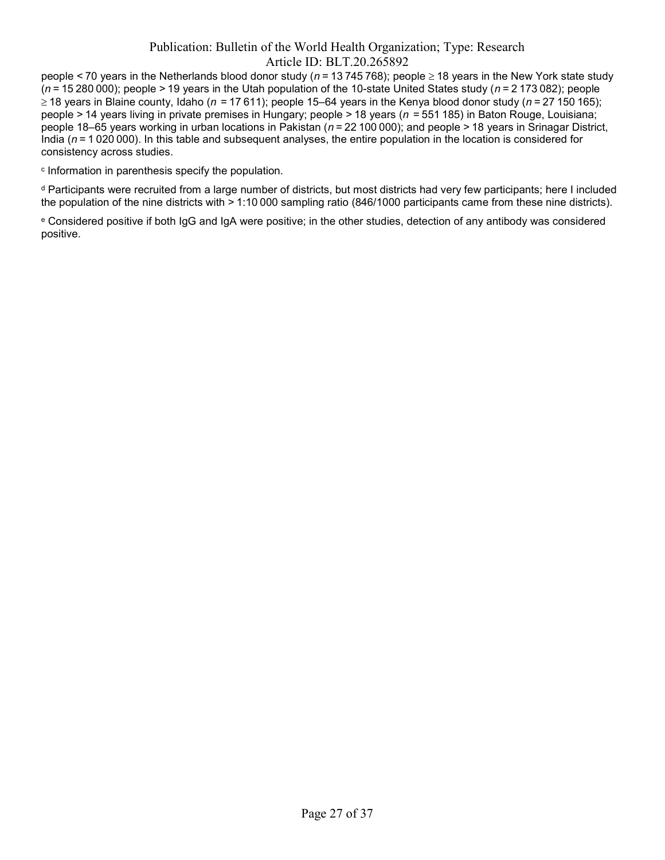people < 70 years in the Netherlands blood donor study ( $n = 13745768$ ); people  $\geq 18$  years in the New York state study  $(n = 15280000)$ ; people > 19 years in the Utah population of the 10-state United States study  $(n = 2173082)$ ; people ≥ 18 years in Blaine county, Idaho (n = 17 611); people 15–64 years in the Kenya blood donor study (n = 27 150 165); people > 14 years living in private premises in Hungary; people > 18 years (n  = 551 185) in Baton Rouge, Louisiana; people 18–65 years working in urban locations in Pakistan ( $n = 22100000$ ); and people > 18 years in Srinagar District, India ( $n = 1020000$ ). In this table and subsequent analyses, the entire population in the location is considered for consistency across studies.

c Information in parenthesis specify the population.

d Participants were recruited from a large number of districts, but most districts had very few participants; here I included the population of the nine districts with > 1:10 000 sampling ratio (846/1000 participants came from these nine districts).

e Considered positive if both IgG and IgA were positive; in the other studies, detection of any antibody was considered positive.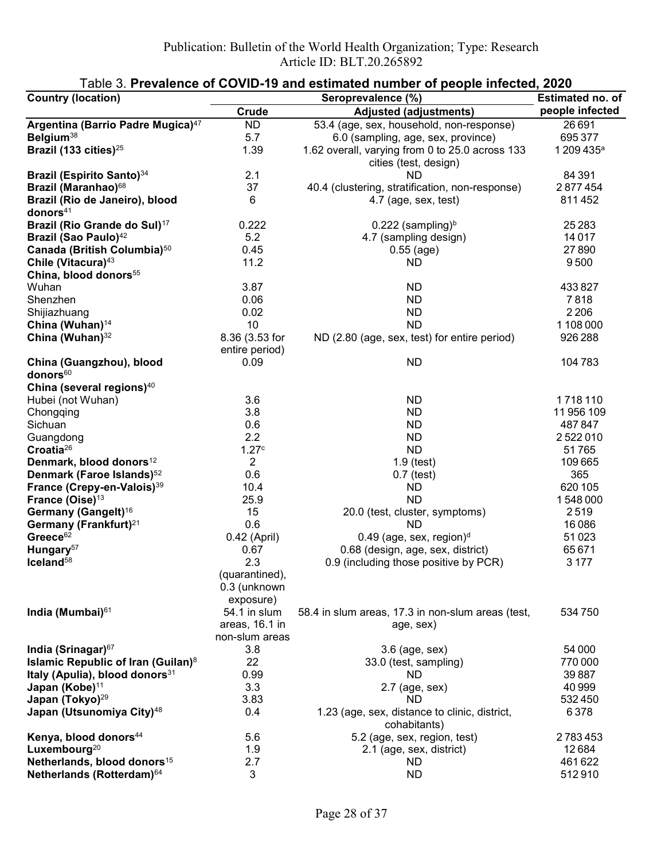| <b>Country (location)</b>                        | Seroprevalence (%)               |                                                                          | Estimated no. of       |
|--------------------------------------------------|----------------------------------|--------------------------------------------------------------------------|------------------------|
|                                                  | Crude                            | <b>Adjusted (adjustments)</b>                                            | people infected        |
| Argentina (Barrio Padre Mugica) <sup>47</sup>    | <b>ND</b>                        | 53.4 (age, sex, household, non-response)                                 | 26691                  |
| Belgium <sup>38</sup>                            | 5.7                              | 6.0 (sampling, age, sex, province)                                       | 695 377                |
| Brazil (133 cities) <sup>25</sup>                | 1.39                             | 1.62 overall, varying from 0 to 25.0 across 133<br>cities (test, design) | 1 209 435 <sup>a</sup> |
| Brazil (Espirito Santo) <sup>34</sup>            | 2.1                              | ND                                                                       | 84 391                 |
| Brazil (Maranhao) <sup>68</sup>                  | 37                               | 40.4 (clustering, stratification, non-response)                          | 2877454                |
| Brazil (Rio de Janeiro), blood<br>donors $41$    | 6                                | 4.7 (age, sex, test)                                                     | 811452                 |
| Brazil (Rio Grande do Sul) <sup>17</sup>         | 0.222                            | $0.222$ (sampling) <sup>b</sup>                                          | 25 2 83                |
| Brazil (Sao Paulo) <sup>42</sup>                 | 5.2                              | 4.7 (sampling design)                                                    | 14017                  |
| Canada (British Columbia) <sup>50</sup>          | 0.45                             | $0.55$ (age)                                                             | 27890                  |
| Chile (Vitacura) <sup>43</sup>                   | 11.2                             | <b>ND</b>                                                                | 9500                   |
| China, blood donors <sup>55</sup>                |                                  |                                                                          |                        |
| Wuhan                                            | 3.87                             | <b>ND</b>                                                                | 433827                 |
| Shenzhen                                         | 0.06                             | <b>ND</b>                                                                | 7818                   |
| Shijiazhuang                                     | 0.02                             | <b>ND</b>                                                                | 2 2 0 6                |
| China (Wuhan) <sup>14</sup>                      | 10                               | <b>ND</b>                                                                | 1 108 000              |
| China (Wuhan) <sup>32</sup>                      | 8.36 (3.53 for<br>entire period) | ND (2.80 (age, sex, test) for entire period)                             | 926 288                |
| China (Guangzhou), blood<br>donors <sup>60</sup> | 0.09                             | <b>ND</b>                                                                | 104783                 |
| China (several regions) <sup>40</sup>            |                                  |                                                                          |                        |
| Hubei (not Wuhan)                                | 3.6                              | <b>ND</b>                                                                | 1718110                |
| Chongqing                                        | 3.8                              | <b>ND</b>                                                                | 11 956 109             |
| Sichuan                                          | 0.6                              | <b>ND</b>                                                                | 487847                 |
| Guangdong                                        | 2.2                              | <b>ND</b>                                                                | 2522010                |
| Croatia <sup>26</sup>                            | 1.27c                            | <b>ND</b>                                                                | 51765                  |
| Denmark, blood donors <sup>12</sup>              | $\overline{2}$                   | $1.9$ (test)                                                             | 109 665                |
| Denmark (Faroe Islands) <sup>52</sup>            | 0.6                              | $0.7$ (test)                                                             | 365                    |
| France (Crepy-en-Valois) <sup>39</sup>           | 10.4                             | ND                                                                       | 620 105                |
| France (Oise) <sup>13</sup>                      | 25.9                             | <b>ND</b>                                                                | 1548000                |
| Germany (Gangelt) <sup>16</sup>                  | 15                               | 20.0 (test, cluster, symptoms)                                           | 2519                   |
| Germany (Frankfurt) <sup>21</sup>                | 0.6                              | <b>ND</b>                                                                | 16086                  |
| Greece <sup>62</sup>                             | 0.42 (April)                     | $0.49$ (age, sex, region) <sup>d</sup>                                   | 51023                  |
| Hungary <sup>57</sup>                            | 0.67                             | 0.68 (design, age, sex, district)                                        | 65671                  |
| Iceland <sup>58</sup>                            | 2.3                              | 0.9 (including those positive by PCR)                                    | 3 1 7 7                |
|                                                  | (quarantined),<br>0.3 (unknown   |                                                                          |                        |
|                                                  | exposure)                        |                                                                          |                        |
| India (Mumbai) <sup>61</sup>                     | 54.1 in slum<br>areas, 16.1 in   | 58.4 in slum areas, 17.3 in non-slum areas (test,<br>age, sex)           | 534 750                |
|                                                  | non-slum areas                   |                                                                          |                        |
| India (Srinagar) <sup>67</sup>                   | 3.8                              | 3.6 (age, sex)                                                           | 54 000                 |
| Islamic Republic of Iran (Guilan) <sup>8</sup>   | 22                               | 33.0 (test, sampling)                                                    | 770 000                |
| Italy (Apulia), blood donors <sup>31</sup>       | 0.99                             | ND.                                                                      | 39887                  |
| Japan (Kobe) <sup>11</sup>                       | 3.3                              | $2.7$ (age, sex)                                                         | 40 999                 |
| Japan (Tokyo) <sup>29</sup>                      | 3.83                             | <b>ND</b>                                                                | 532450                 |
| Japan (Utsunomiya City) <sup>48</sup>            | 0.4                              | 1.23 (age, sex, distance to clinic, district,<br>cohabitants)            | 6378                   |
| Kenya, blood donors <sup>44</sup>                | 5.6                              | 5.2 (age, sex, region, test)                                             | 2783453                |
| Luxembourg <sup>20</sup>                         | 1.9                              | 2.1 (age, sex, district)                                                 | 12684                  |
| Netherlands, blood donors <sup>15</sup>          | 2.7                              | ND                                                                       | 461622                 |
| Netherlands (Rotterdam) <sup>64</sup>            | $\mathbf{3}$                     | <b>ND</b>                                                                | 512910                 |

## Table 3. Prevalence of COVID-19 and estimated number of people infected, 2020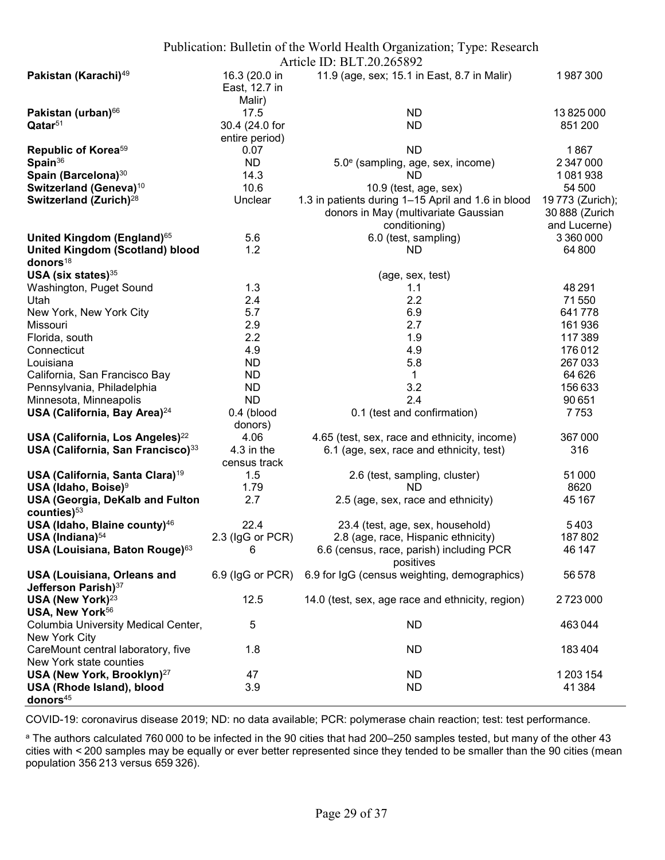|                                                                       |                                          | Publication: Bulletin of the World Health Organization; Type: Research |                                |
|-----------------------------------------------------------------------|------------------------------------------|------------------------------------------------------------------------|--------------------------------|
|                                                                       |                                          | Article ID: BLT.20.265892                                              |                                |
| Pakistan (Karachi) <sup>49</sup>                                      | 16.3 (20.0 in<br>East, 12.7 in<br>Malir) | 11.9 (age, sex; 15.1 in East, 8.7 in Malir)                            | 1987300                        |
| Pakistan (urban) <sup>66</sup>                                        | 17.5                                     | ND                                                                     | 13825000                       |
| Qatar <sup>51</sup>                                                   | 30.4 (24.0 for                           | <b>ND</b>                                                              | 851 200                        |
|                                                                       | entire period)                           |                                                                        |                                |
| Republic of Korea <sup>59</sup>                                       | 0.07                                     | <b>ND</b>                                                              | 1867                           |
| Spain <sup>36</sup>                                                   | ND.                                      | 5.0 <sup>e</sup> (sampling, age, sex, income)                          | 2 347 000                      |
| Spain (Barcelona) <sup>30</sup>                                       | 14.3                                     | <b>ND</b>                                                              | 1081938                        |
| Switzerland (Geneva) <sup>10</sup>                                    | 10.6                                     | 10.9 (test, age, sex)                                                  | 54 500                         |
| Switzerland (Zurich) <sup>28</sup>                                    | Unclear                                  | 1.3 in patients during 1-15 April and 1.6 in blood                     | 19 773 (Zurich);               |
|                                                                       |                                          | donors in May (multivariate Gaussian<br>conditioning)                  | 30 888 (Zurich<br>and Lucerne) |
| United Kingdom (England) <sup>65</sup>                                | 5.6                                      | 6.0 (test, sampling)                                                   | 3 360 000                      |
| <b>United Kingdom (Scotland) blood</b>                                | 1.2                                      | <b>ND</b>                                                              | 64 800                         |
| donors <sup>18</sup>                                                  |                                          |                                                                        |                                |
| USA (six states) $35$                                                 |                                          | (age, sex, test)                                                       |                                |
| Washington, Puget Sound                                               | 1.3                                      | 1.1                                                                    | 48 291                         |
| Utah                                                                  | 2.4                                      | 2.2                                                                    | 71550                          |
| New York, New York City                                               | 5.7                                      | 6.9                                                                    | 641778                         |
| Missouri                                                              | 2.9                                      | 2.7                                                                    | 161936                         |
| Florida, south                                                        | 2.2                                      | 1.9                                                                    | 117389                         |
| Connecticut                                                           | 4.9                                      | 4.9                                                                    | 176012                         |
| Louisiana                                                             | <b>ND</b>                                | 5.8                                                                    | 267033                         |
| California, San Francisco Bay                                         | <b>ND</b>                                | $\mathbf{1}$                                                           | 64 626                         |
| Pennsylvania, Philadelphia                                            | <b>ND</b>                                | 3.2                                                                    | 156633                         |
| Minnesota, Minneapolis                                                | <b>ND</b>                                | 2.4                                                                    | 90 651                         |
| USA (California, Bay Area) <sup>24</sup>                              | $0.4$ (blood<br>donors)                  | 0.1 (test and confirmation)                                            | 7753                           |
| USA (California, Los Angeles) <sup>22</sup>                           | 4.06                                     | 4.65 (test, sex, race and ethnicity, income)                           | 367000                         |
| USA (California, San Francisco) <sup>33</sup>                         | 4.3 in the<br>census track               | 6.1 (age, sex, race and ethnicity, test)                               | 316                            |
| USA (California, Santa Clara) <sup>19</sup>                           | 1.5                                      | 2.6 (test, sampling, cluster)                                          | 51 000                         |
| USA (Idaho, Boise) <sup>9</sup>                                       | 1.79                                     | <b>ND</b>                                                              | 8620                           |
| USA (Georgia, DeKalb and Fulton<br>counties) <sup>53</sup>            | 2.7                                      | 2.5 (age, sex, race and ethnicity)                                     | 45 167                         |
| USA (Idaho, Blaine county) <sup>46</sup>                              | 22.4                                     | 23.4 (test, age, sex, household)                                       | 5403                           |
| USA (Indiana) <sup>54</sup>                                           | 2.3 (IgG or PCR)                         | 2.8 (age, race, Hispanic ethnicity)                                    | 187802                         |
| USA (Louisiana, Baton Rouge) <sup>63</sup>                            | 6                                        | 6.6 (census, race, parish) including PCR<br>positives                  | 46 147                         |
| <b>USA (Louisiana, Orleans and</b><br>Jefferson Parish) <sup>37</sup> |                                          | 6.9 (IgG or PCR) 6.9 for IgG (census weighting, demographics)          | 56578                          |
| USA (New York) <sup>23</sup><br>USA, New York <sup>56</sup>           | 12.5                                     | 14.0 (test, sex, age race and ethnicity, region)                       | 2723000                        |
| Columbia University Medical Center,<br>New York City                  | 5                                        | <b>ND</b>                                                              | 463044                         |
| CareMount central laboratory, five<br>New York state counties         | 1.8                                      | <b>ND</b>                                                              | 183404                         |
| USA (New York, Brooklyn) <sup>27</sup>                                | 47                                       | <b>ND</b>                                                              | 1 203 154                      |
| USA (Rhode Island), blood                                             | 3.9                                      | <b>ND</b>                                                              | 41384                          |
| donors <sup>45</sup>                                                  |                                          |                                                                        |                                |

COVID-19: coronavirus disease 2019; ND: no data available; PCR: polymerase chain reaction; test: test performance.

a The authors calculated 760 000 to be infected in the 90 cities that had 200–250 samples tested, but many of the other 43 cities with < 200 samples may be equally or ever better represented since they tended to be smaller than the 90 cities (mean population 356 213 versus 659 326).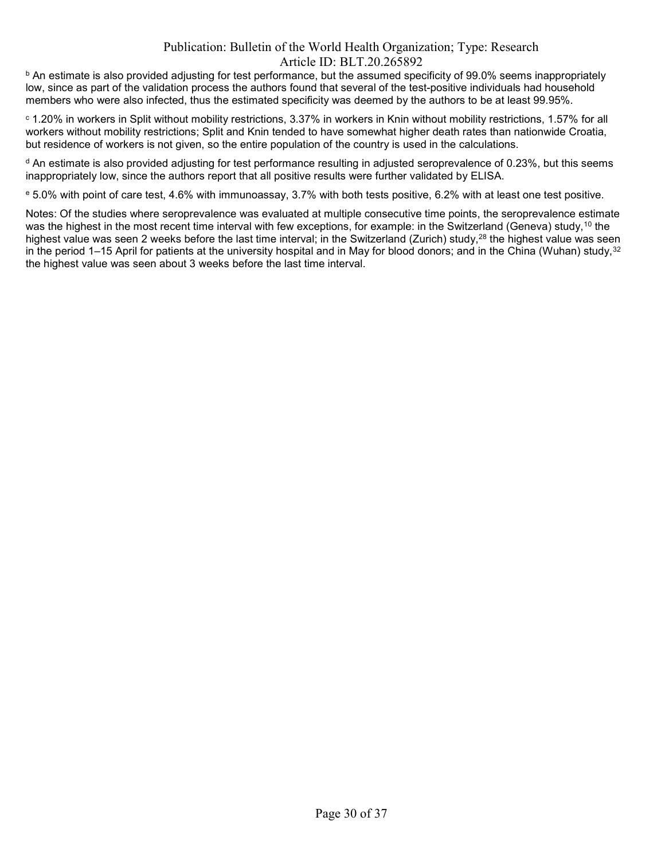$^{\rm b}$  An estimate is also provided adjusting for test performance, but the assumed specificity of 99.0% seems inappropriately low, since as part of the validation process the authors found that several of the test-positive individuals had household members who were also infected, thus the estimated specificity was deemed by the authors to be at least 99.95%.

 $^\circ$  1.20% in workers in Split without mobility restrictions, 3.37% in workers in Knin without mobility restrictions, 1.57% for all workers without mobility restrictions; Split and Knin tended to have somewhat higher death rates than nationwide Croatia, but residence of workers is not given, so the entire population of the country is used in the calculations.

 $^{\rm d}$  An estimate is also provided adjusting for test performance resulting in adjusted seroprevalence of 0.23%, but this seems inappropriately low, since the authors report that all positive results were further validated by ELISA.

e 5.0% with point of care test, 4.6% with immunoassay, 3.7% with both tests positive, 6.2% with at least one test positive.

Notes: Of the studies where seroprevalence was evaluated at multiple consecutive time points, the seroprevalence estimate was the highest in the most recent time interval with few exceptions, for example: in the Switzerland (Geneva) study,<sup>10</sup> the highest value was seen 2 weeks before the last time interval; in the Switzerland (Zurich) study,<sup>28</sup> the highest value was seen in the period 1–15 April for patients at the university hospital and in May for blood donors; and in the China (Wuhan) study,<sup>32</sup> the highest value was seen about 3 weeks before the last time interval.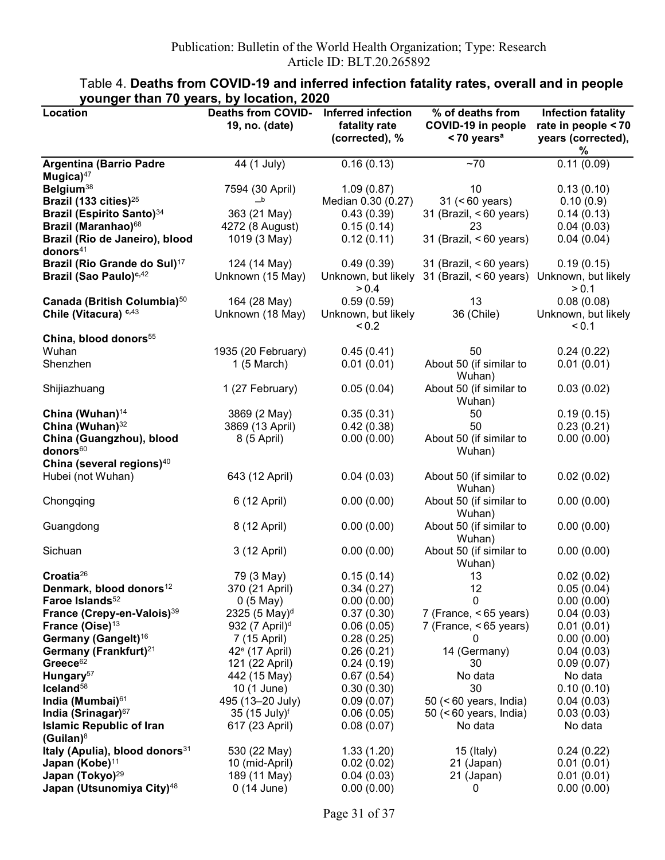| Location                                   | <b>Deaths from COVID-</b>               | <b>Inferred infection</b> | % of deaths from          | <b>Infection fatality</b> |
|--------------------------------------------|-----------------------------------------|---------------------------|---------------------------|---------------------------|
|                                            | 19, no. (date)                          | fatality rate             | COVID-19 in people        | rate in people < 70       |
|                                            |                                         | (corrected), %            | $<$ 70 years <sup>a</sup> | years (corrected),        |
|                                            |                                         |                           |                           | %                         |
| <b>Argentina (Barrio Padre</b>             | 44 (1 July)                             | 0.16(0.13)                | $~1$ 70                   | 0.11(0.09)                |
| Mugica $47$                                |                                         |                           |                           |                           |
| Belgium <sup>38</sup>                      | 7594 (30 April)                         | 1.09(0.87)                | 10                        | 0.13(0.10)                |
| Brazil (133 cities) <sup>25</sup>          | $\overline{\phantom{a}}^{\,\mathsf{b}}$ | Median 0.30 (0.27)        | 31 (< 60 years)           | 0.10(0.9)                 |
| Brazil (Espirito Santo) <sup>34</sup>      | 363 (21 May)                            | 0.43(0.39)                | 31 (Brazil, <60 years)    | 0.14(0.13)                |
| Brazil (Maranhao) <sup>68</sup>            | 4272 (8 August)                         | 0.15(0.14)                | 23                        | 0.04(0.03)                |
| Brazil (Rio de Janeiro), blood             | 1019 (3 May)                            | 0.12(0.11)                | 31 (Brazil, $< 60$ years) | 0.04(0.04)                |
| donors $41$                                |                                         |                           |                           |                           |
| Brazil (Rio Grande do Sul) <sup>17</sup>   | 124 (14 May)                            | 0.49(0.39)                | 31 (Brazil, $< 60$ years) | 0.19(0.15)                |
| Brazil (Sao Paulo) <sup>c,42</sup>         | Unknown (15 May)                        | Unknown, but likely       | 31 (Brazil, $< 60$ years) | Unknown, but likely       |
|                                            |                                         | > 0.4                     |                           | > 0.1                     |
| Canada (British Columbia) <sup>50</sup>    | 164 (28 May)                            | 0.59(0.59)                | 13                        | 0.08(0.08)                |
| Chile (Vitacura) c,43                      | Unknown (18 May)                        | Unknown, but likely       | 36 (Chile)                | Unknown, but likely       |
|                                            |                                         | < 0.2                     |                           | < 0.1                     |
| China, blood donors <sup>55</sup>          |                                         |                           |                           |                           |
| Wuhan                                      | 1935 (20 February)                      | 0.45(0.41)                | 50                        | 0.24(0.22)                |
| Shenzhen                                   | $1(5 \text{ March})$                    | 0.01(0.01)                | About 50 (if similar to   | 0.01(0.01)                |
|                                            |                                         |                           | Wuhan)                    |                           |
| Shijiazhuang                               | 1 (27 February)                         | 0.05(0.04)                | About 50 (if similar to   | 0.03(0.02)                |
|                                            |                                         |                           | Wuhan)                    |                           |
| China (Wuhan) <sup>14</sup>                | 3869 (2 May)                            | 0.35(0.31)                | 50                        | 0.19(0.15)                |
| China (Wuhan) <sup>32</sup>                | 3869 (13 April)                         | 0.42(0.38)                | 50                        | 0.23(0.21)                |
| China (Guangzhou), blood                   | 8 (5 April)                             | 0.00(0.00)                | About 50 (if similar to   | 0.00(0.00)                |
| donors <sup>60</sup>                       |                                         |                           | Wuhan)                    |                           |
| China (several regions) <sup>40</sup>      |                                         |                           |                           |                           |
| Hubei (not Wuhan)                          | 643 (12 April)                          | 0.04(0.03)                | About 50 (if similar to   | 0.02(0.02)                |
|                                            |                                         |                           | Wuhan)                    |                           |
| Chongqing                                  | 6 (12 April)                            | 0.00(0.00)                | About 50 (if similar to   | 0.00(0.00)                |
|                                            |                                         |                           | Wuhan)                    |                           |
| Guangdong                                  | 8 (12 April)                            | 0.00(0.00)                | About 50 (if similar to   | 0.00(0.00)                |
|                                            |                                         |                           | Wuhan)                    |                           |
| Sichuan                                    | 3 (12 April)                            | 0.00(0.00)                | About 50 (if similar to   | 0.00(0.00)                |
|                                            |                                         |                           | Wuhan)                    |                           |
| Croatia <sup>26</sup>                      | 79 (3 May)                              | 0.15(0.14)                | 13                        | 0.02(0.02)                |
| Denmark, blood donors <sup>12</sup>        | 370 (21 April)                          | 0.34(0.27)                | 12                        | 0.05(0.04)                |
| Faroe Islands <sup>52</sup>                | $0(5$ May)                              | 0.00(0.00)                | 0                         | 0.00(0.00)                |
| France (Crepy-en-Valois) <sup>39</sup>     | 2325 (5 May) <sup>d</sup>               | 0.37(0.30)                | 7 (France, <65 years)     | 0.04(0.03)                |
| France (Oise) <sup>13</sup>                | 932 (7 April) <sup>d</sup>              | 0.06(0.05)                | 7 (France, <65 years)     | 0.01(0.01)                |
| Germany (Gangelt) <sup>16</sup>            | 7 (15 April)                            | 0.28(0.25)                | 0                         | 0.00(0.00)                |
| Germany (Frankfurt) <sup>21</sup>          | 42 <sup>e</sup> (17 April)              | 0.26(0.21)                | 14 (Germany)              | 0.04(0.03)                |
| Greece <sup>62</sup>                       | 121 (22 April)                          | 0.24(0.19)                | 30                        | 0.09(0.07)                |
| Hungary <sup>57</sup>                      | 442 (15 May)                            | 0.67(0.54)                | No data                   | No data                   |
| Iceland <sup>58</sup>                      | 10 (1 June)                             | 0.30(0.30)                | 30                        | 0.10(0.10)                |
| India (Mumbai) <sup>61</sup>               | 495 (13-20 July)                        | 0.09(0.07)                | $50$ (< 60 years, India)  | 0.04(0.03)                |
| India (Srinagar) <sup>67</sup>             | 35 (15 July) <sup>f</sup>               | 0.06(0.05)                | 50 (<60 years, India)     | 0.03(0.03)                |
| <b>Islamic Republic of Iran</b>            | 617 (23 April)                          | 0.08(0.07)                | No data                   | No data                   |
| (Guilan) $8$                               |                                         |                           |                           |                           |
| Italy (Apulia), blood donors <sup>31</sup> | 530 (22 May)                            | 1.33(1.20)                | 15 (Italy)                | 0.24(0.22)                |
| Japan (Kobe) <sup>11</sup>                 | 10 (mid-April)                          | 0.02(0.02)                | 21 (Japan)                | 0.01(0.01)                |
| Japan (Tokyo) <sup>29</sup>                | 189 (11 May)                            | 0.04(0.03)                | 21 (Japan)                | 0.01(0.01)                |
| Japan (Utsunomiya City) <sup>48</sup>      | $0(14$ June)                            | 0.00(0.00)                | 0                         | 0.00(0.00)                |

## Table 4. Deaths from COVID-19 and inferred infection fatality rates, overall and in people younger than 70 years, by location, 2020

Page 31 of 37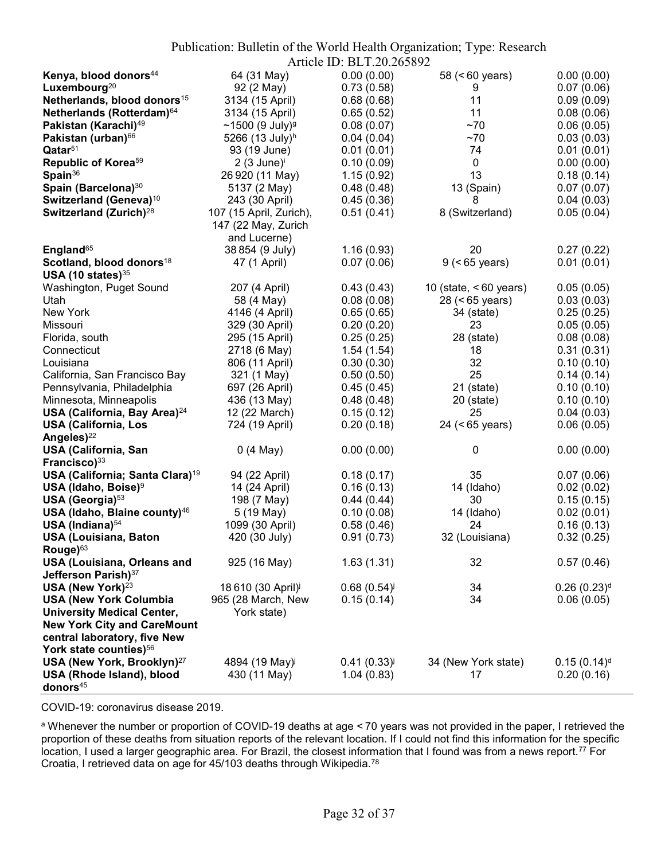|                                             |                             |                           | Publication: Bulletin of the World Health Organization; Type: Research |                           |
|---------------------------------------------|-----------------------------|---------------------------|------------------------------------------------------------------------|---------------------------|
|                                             |                             | Article ID: BLT.20.265892 |                                                                        |                           |
| Kenya, blood donors <sup>44</sup>           | 64 (31 May)                 | 0.00(0.00)                | 58 (<60 years)                                                         | 0.00(0.00)                |
| Luxembourg <sup>20</sup>                    | 92 (2 May)                  | 0.73(0.58)                | 9                                                                      | 0.07(0.06)                |
| Netherlands, blood donors <sup>15</sup>     | 3134 (15 April)             | 0.68(0.68)                | 11                                                                     | 0.09(0.09)                |
| Netherlands (Rotterdam) <sup>64</sup>       | 3134 (15 April)             | 0.65(0.52)                | 11                                                                     | 0.08(0.06)                |
| Pakistan (Karachi) <sup>49</sup>            | ~1500 (9 July) <sup>g</sup> | 0.08(0.07)                | ~1                                                                     | 0.06(0.05)                |
| Pakistan (urban) <sup>66</sup>              | 5266 (13 July) <sup>h</sup> | 0.04(0.04)                | ~1                                                                     | 0.03(0.03)                |
| $\mathbf{Q}$ atar <sup>51</sup>             | 93 (19 June)                | 0.01(0.01)                | 74                                                                     | 0.01(0.01)                |
| Republic of Korea <sup>59</sup>             | $2(3$ June) $i$             | 0.10(0.09)                | 0                                                                      | 0.00(0.00)                |
| Spain $36$                                  | 26 920 (11 May)             | 1.15(0.92)                | 13                                                                     | 0.18(0.14)                |
| Spain (Barcelona) <sup>30</sup>             | 5137 (2 May)                | 0.48(0.48)                | 13 (Spain)                                                             | 0.07(0.07)                |
| Switzerland (Geneva) <sup>10</sup>          | 243 (30 April)              | 0.45(0.36)                | 8                                                                      | 0.04(0.03)                |
| Switzerland (Zurich) <sup>28</sup>          | 107 (15 April, Zurich),     | 0.51(0.41)                | 8 (Switzerland)                                                        | 0.05(0.04)                |
|                                             | 147 (22 May, Zurich         |                           |                                                                        |                           |
|                                             | and Lucerne)                |                           |                                                                        |                           |
| England <sup>65</sup>                       | 38 854 (9 July)             | 1.16(0.93)                | 20                                                                     | 0.27(0.22)                |
| Scotland, blood donors <sup>18</sup>        | 47 (1 April)                | 0.07(0.06)                | $9$ (<65 years)                                                        | 0.01(0.01)                |
| USA (10 states) $35$                        |                             |                           |                                                                        |                           |
| Washington, Puget Sound                     | 207 (4 April)               | 0.43(0.43)                | 10 (state, $< 60$ years)                                               | 0.05(0.05)                |
| Utah                                        | 58 (4 May)                  | 0.08(0.08)                | $28 (< 65$ years)                                                      | 0.03(0.03)                |
| New York                                    | 4146 (4 April)              | 0.65(0.65)                | 34 (state)                                                             | 0.25(0.25)                |
| Missouri                                    | 329 (30 April)              | 0.20(0.20)                | 23                                                                     | 0.05(0.05)                |
| Florida, south                              | 295 (15 April)              | 0.25(0.25)                | 28 (state)                                                             | 0.08(0.08)                |
| Connecticut                                 | 2718 (6 May)                | 1.54(1.54)                | 18                                                                     | 0.31(0.31)                |
| Louisiana                                   | 806 (11 April)              | 0.30(0.30)                | 32                                                                     | 0.10(0.10)                |
| California, San Francisco Bay               | 321 (1 May)                 | 0.50(0.50)                | 25                                                                     | 0.14(0.14)                |
| Pennsylvania, Philadelphia                  | 697 (26 April)              | 0.45(0.45)                | $21$ (state)                                                           | 0.10(0.10)                |
| Minnesota, Minneapolis                      | 436 (13 May)                | 0.48(0.48)                | $20$ (state)                                                           | 0.10(0.10)                |
| USA (California, Bay Area) <sup>24</sup>    | 12 (22 March)               | 0.15(0.12)                | 25                                                                     | 0.04(0.03)                |
| <b>USA (California, Los</b>                 | 724 (19 April)              | 0.20(0.18)                | 24 (<65 years)                                                         | 0.06(0.05)                |
| Angeles) <sup>22</sup>                      |                             |                           |                                                                        |                           |
| <b>USA (California, San</b>                 | 0(4 May)                    | 0.00(0.00)                | 0                                                                      | 0.00(0.00)                |
| Francisco) <sup>33</sup>                    |                             |                           |                                                                        |                           |
| USA (California; Santa Clara) <sup>19</sup> | 94 (22 April)               | 0.18(0.17)                | 35                                                                     | 0.07(0.06)                |
| USA (Idaho, Boise) <sup>9</sup>             | 14 (24 April)               | 0.16(0.13)                | 14 (Idaho)                                                             | 0.02(0.02)                |
| USA (Georgia) <sup>53</sup>                 | 198 (7 May)                 | 0.44(0.44)                | 30                                                                     | 0.15(0.15)                |
| USA (Idaho, Blaine county) <sup>46</sup>    | 5 (19 May)                  | 0.10(0.08)                | 14 (Idaho)                                                             | 0.02(0.01)                |
| USA (Indiana) $54$                          | 1099 (30 April)             | 0.58(0.46)                | 24                                                                     | 0.16(0.13)                |
| <b>USA (Louisiana, Baton</b>                | 420 (30 July)               | 0.91(0.73)                | 32 (Louisiana)                                                         | 0.32(0.25)                |
| Rouge) <sup>63</sup>                        |                             |                           |                                                                        |                           |
| <b>USA (Louisiana, Orleans and</b>          | 925 (16 May)                | 1.63(1.31)                | 32                                                                     | 0.57(0.46)                |
| Jefferson Parish) <sup>37</sup>             |                             |                           |                                                                        |                           |
| USA (New York) $^{23}$                      | 18 610 (30 April)           | 0.68(0.54)                | 34                                                                     | $0.26(0.23)$ <sup>d</sup> |
| <b>USA (New York Columbia</b>               | 965 (28 March, New          | 0.15(0.14)                | 34                                                                     | 0.06(0.05)                |
| <b>University Medical Center,</b>           | York state)                 |                           |                                                                        |                           |
| <b>New York City and CareMount</b>          |                             |                           |                                                                        |                           |
| central laboratory, five New                |                             |                           |                                                                        |                           |
| York state counties) <sup>56</sup>          |                             |                           |                                                                        |                           |
| USA (New York, Brooklyn) <sup>27</sup>      | 4894 (19 May) <sup>j</sup>  | 0.41(0.33)                | 34 (New York state)                                                    | $0.15(0.14)$ <sup>d</sup> |
| USA (Rhode Island), blood                   | 430 (11 May)                | 1.04(0.83)                | 17                                                                     | 0.20(0.16)                |
| donors $45$                                 |                             |                           |                                                                        |                           |

COVID-19: coronavirus disease 2019.

a Whenever the number or proportion of COVID-19 deaths at age < 70 years was not provided in the paper, I retrieved the proportion of these deaths from situation reports of the relevant location. If I could not find this information for the specific location, I used a larger geographic area. For Brazil, the closest information that I found was from a news report.<sup>77</sup> For Croatia, I retrieved data on age for 45/103 deaths through Wikipedia.78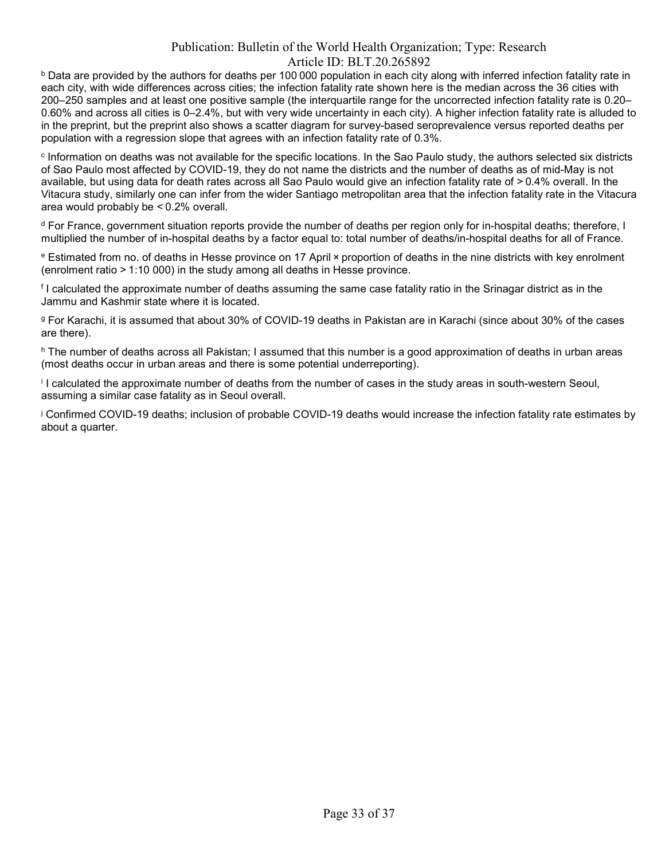$^{\rm b}$  Data are provided by the authors for deaths per 100 000 population in each city along with inferred infection fatality rate in each city, with wide differences across cities; the infection fatality rate shown here is the median across the 36 cities with 200–250 samples and at least one positive sample (the interquartile range for the uncorrected infection fatality rate is 0.20– 0.60% and across all cities is 0–2.4%, but with very wide uncertainty in each city). A higher infection fatality rate is alluded to in the preprint, but the preprint also shows a scatter diagram for survey-based seroprevalence versus reported deaths per population with a regression slope that agrees with an infection fatality rate of 0.3%.

c Information on deaths was not available for the specific locations. In the Sao Paulo study, the authors selected six districts of Sao Paulo most affected by COVID-19, they do not name the districts and the number of deaths as of mid-May is not available, but using data for death rates across all Sao Paulo would give an infection fatality rate of > 0.4% overall. In the Vitacura study, similarly one can infer from the wider Santiago metropolitan area that the infection fatality rate in the Vitacura area would probably be < 0.2% overall.

d For France, government situation reports provide the number of deaths per region only for in-hospital deaths; therefore, I multiplied the number of in-hospital deaths by a factor equal to: total number of deaths/in-hospital deaths for all of France.

e Estimated from no. of deaths in Hesse province on 17 April × proportion of deaths in the nine districts with key enrolment (enrolment ratio > 1:10 000) in the study among all deaths in Hesse province.

f I calculated the approximate number of deaths assuming the same case fatality ratio in the Srinagar district as in the Jammu and Kashmir state where it is located.

g For Karachi, it is assumed that about 30% of COVID-19 deaths in Pakistan are in Karachi (since about 30% of the cases are there).

h The number of deaths across all Pakistan; I assumed that this number is a good approximation of deaths in urban areas (most deaths occur in urban areas and there is some potential underreporting).

i I calculated the approximate number of deaths from the number of cases in the study areas in south-western Seoul, assuming a similar case fatality as in Seoul overall.

j Confirmed COVID-19 deaths; inclusion of probable COVID-19 deaths would increase the infection fatality rate estimates by about a quarter.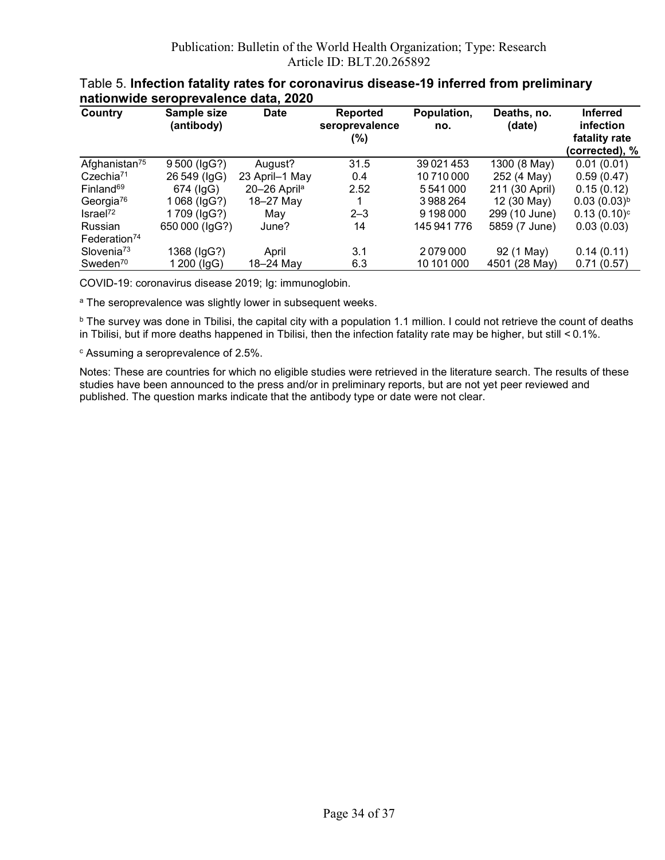| Country                             | Sample size<br>(antibody) | <b>Date</b>              | Reported<br>seroprevalence<br>(%) | Population,<br>no. | Deaths, no.<br>(date) | <b>Inferred</b><br>infection<br>fatality rate<br>(corrected), % |
|-------------------------------------|---------------------------|--------------------------|-----------------------------------|--------------------|-----------------------|-----------------------------------------------------------------|
| Afghanistan <sup>75</sup>           | 9500 (IgG?)               | August?                  | 31.5                              | 39 0 21 4 5 3      | 1300 (8 May)          | 0.01(0.01)                                                      |
| Czechia <sup>71</sup>               | 26 549 (IgG)              | 23 April-1 May           | 0.4                               | 10710000           | 252 (4 May)           | 0.59(0.47)                                                      |
| Finland <sup>69</sup>               | 674 (IgG)                 | 20-26 April <sup>a</sup> | 2.52                              | 5541000            | 211 (30 April)        | 0.15(0.12)                                                      |
| Georgia <sup>76</sup>               | 1068 (IgG?)               | 18-27 May                |                                   | 3988264            | 12 (30 May)           | $0.03(0.03)^{b}$                                                |
| Israel <sup>72</sup>                | 1709 (IgG?)               | Mav                      | $2 - 3$                           | 9 198 000          | 299 (10 June)         | $0.13(0.10)$ <sup>c</sup>                                       |
| Russian<br>Federation <sup>74</sup> | 650 000 (IgG?)            | June?                    | 14                                | 145 941 776        | 5859 (7 June)         | 0.03(0.03)                                                      |
| Slovenia <sup>73</sup>              | 1368 (IgG?)               | April                    | 3.1                               | 2079000            | 92 (1 May)            | 0.14(0.11)                                                      |
| Sweden <sup>70</sup>                | 1 200 (IgG)               | 18-24 May                | 6.3                               | 10 101 000         | 4501 (28 May)         | 0.71(0.57)                                                      |

#### Table 5. Infection fatality rates for coronavirus disease-19 inferred from preliminary nationwide seroprevalence data, 2020

COVID-19: coronavirus disease 2019; Ig: immunoglobin.

<sup>a</sup> The seroprevalence was slightly lower in subsequent weeks.

 $^{\rm b}$  The survey was done in Tbilisi, the capital city with a population 1.1 million. I could not retrieve the count of deaths in Tbilisi, but if more deaths happened in Tbilisi, then the infection fatality rate may be higher, but still < 0.1%.

 $\,^{\rm c}$  Assuming a seroprevalence of 2.5%.

Notes: These are countries for which no eligible studies were retrieved in the literature search. The results of these studies have been announced to the press and/or in preliminary reports, but are not yet peer reviewed and published. The question marks indicate that the antibody type or date were not clear.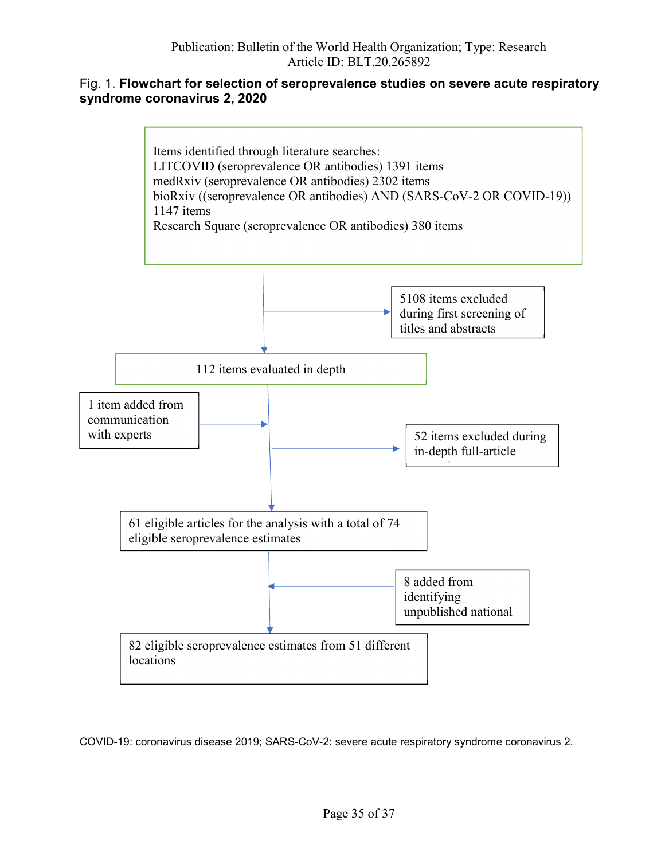## Fig. 1. Flowchart for selection of seroprevalence studies on severe acute respiratory syndrome coronavirus 2, 2020



COVID-19: coronavirus disease 2019; SARS-CoV-2: severe acute respiratory syndrome coronavirus 2.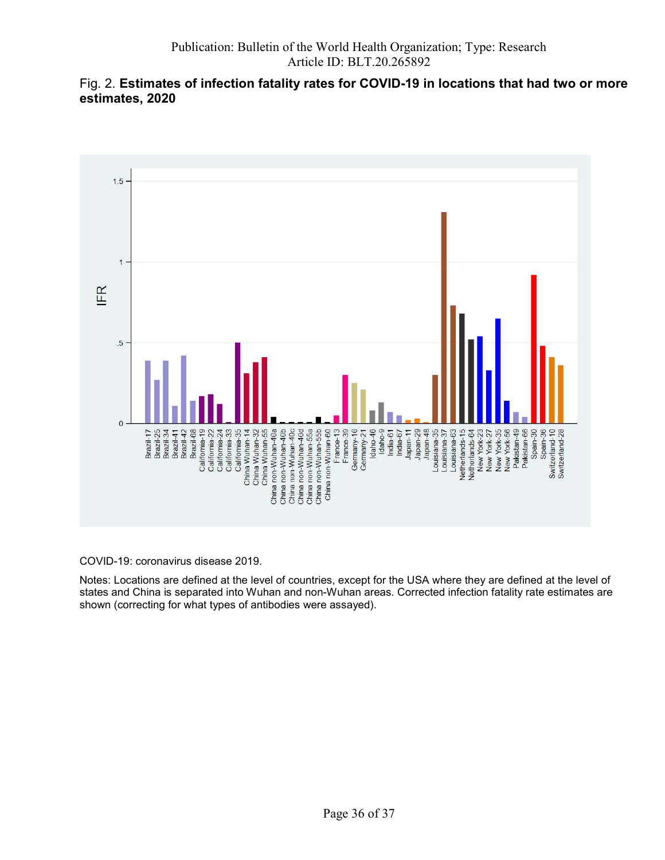## Fig. 2. Estimates of infection fatality rates for COVID-19 in locations that had two or more estimates, 2020



COVID-19: coronavirus disease 2019.

Notes: Locations are defined at the level of countries, except for the USA where they are defined at the level of states and China is separated into Wuhan and non-Wuhan areas. Corrected infection fatality rate estimates are shown (correcting for what types of antibodies were assayed).